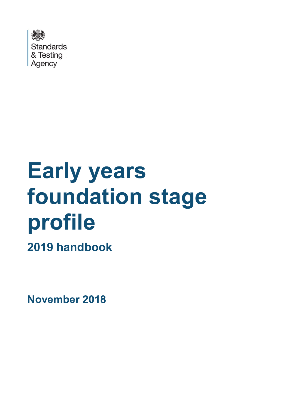

# **Early years foundation stage profile**

**2019 handbook**

**November 2018**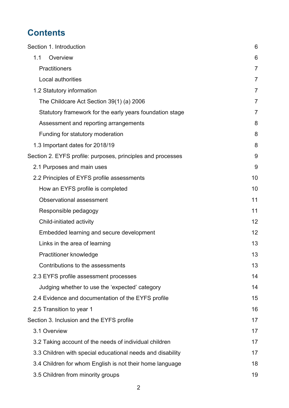# **Contents**

| Section 1. Introduction                                     | 6              |
|-------------------------------------------------------------|----------------|
| Overview<br>1.1                                             | 6              |
| <b>Practitioners</b>                                        | $\overline{7}$ |
| Local authorities                                           | 7              |
| 1.2 Statutory information                                   | $\overline{7}$ |
| The Childcare Act Section 39(1) (a) 2006                    | $\overline{7}$ |
| Statutory framework for the early years foundation stage    | 7              |
| Assessment and reporting arrangements                       | 8              |
| Funding for statutory moderation                            | 8              |
| 1.3 Important dates for 2018/19                             | 8              |
| Section 2. EYFS profile: purposes, principles and processes | 9              |
| 2.1 Purposes and main uses                                  | 9              |
| 2.2 Principles of EYFS profile assessments                  | 10             |
| How an EYFS profile is completed                            | 10             |
| Observational assessment                                    | 11             |
| Responsible pedagogy                                        | 11             |
| Child-initiated activity                                    | 12             |
| Embedded learning and secure development                    | 12             |
| Links in the area of learning                               | 13             |
| Practitioner knowledge                                      | 13             |
| Contributions to the assessments                            | 13             |
| 2.3 EYFS profile assessment processes                       | 14             |
| Judging whether to use the 'expected' category              | 14             |
| 2.4 Evidence and documentation of the EYFS profile          | 15             |
| 2.5 Transition to year 1                                    | 16             |
| Section 3. Inclusion and the EYFS profile                   | 17             |
| 3.1 Overview                                                | 17             |
| 3.2 Taking account of the needs of individual children      | 17             |
| 3.3 Children with special educational needs and disability  | 17             |
| 3.4 Children for whom English is not their home language    | 18             |
| 3.5 Children from minority groups                           | 19             |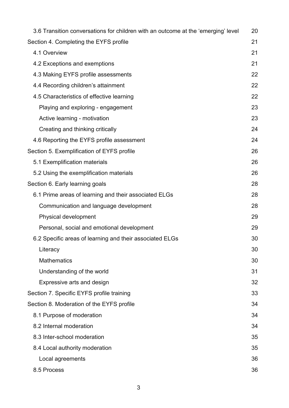| 3.6 Transition conversations for children with an outcome at the 'emerging' level | 20 |
|-----------------------------------------------------------------------------------|----|
| Section 4. Completing the EYFS profile                                            | 21 |
| 4.1 Overview                                                                      | 21 |
| 4.2 Exceptions and exemptions                                                     | 21 |
| 4.3 Making EYFS profile assessments                                               | 22 |
| 4.4 Recording children's attainment                                               | 22 |
| 4.5 Characteristics of effective learning                                         | 22 |
| Playing and exploring - engagement                                                | 23 |
| Active learning - motivation                                                      | 23 |
| Creating and thinking critically                                                  | 24 |
| 4.6 Reporting the EYFS profile assessment                                         | 24 |
| Section 5. Exemplification of EYFS profile                                        | 26 |
| 5.1 Exemplification materials                                                     | 26 |
| 5.2 Using the exemplification materials                                           | 26 |
| Section 6. Early learning goals                                                   | 28 |
| 6.1 Prime areas of learning and their associated ELGs                             | 28 |
| Communication and language development                                            | 28 |
| Physical development                                                              | 29 |
| Personal, social and emotional development                                        | 29 |
| 6.2 Specific areas of learning and their associated ELGs                          | 30 |
| Literacy                                                                          | 30 |
| <b>Mathematics</b>                                                                | 30 |
| Understanding of the world                                                        | 31 |
| Expressive arts and design                                                        | 32 |
| Section 7. Specific EYFS profile training                                         | 33 |
| Section 8. Moderation of the EYFS profile                                         | 34 |
| 8.1 Purpose of moderation                                                         | 34 |
| 8.2 Internal moderation                                                           | 34 |
| 8.3 Inter-school moderation                                                       | 35 |
| 8.4 Local authority moderation                                                    | 35 |
| Local agreements                                                                  | 36 |
| 8.5 Process                                                                       | 36 |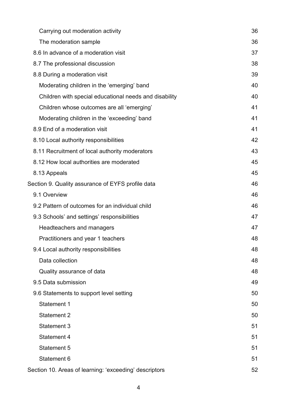| Carrying out moderation activity                       | 36 |
|--------------------------------------------------------|----|
| The moderation sample                                  | 36 |
| 8.6 In advance of a moderation visit                   | 37 |
| 8.7 The professional discussion                        | 38 |
| 8.8 During a moderation visit                          | 39 |
| Moderating children in the 'emerging' band             | 40 |
| Children with special educational needs and disability | 40 |
| Children whose outcomes are all 'emerging'             | 41 |
| Moderating children in the 'exceeding' band            | 41 |
| 8.9 End of a moderation visit                          | 41 |
| 8.10 Local authority responsibilities                  | 42 |
| 8.11 Recruitment of local authority moderators         | 43 |
| 8.12 How local authorities are moderated               | 45 |
| 8.13 Appeals                                           | 45 |
| Section 9. Quality assurance of EYFS profile data      | 46 |
| 9.1 Overview                                           | 46 |
| 9.2 Pattern of outcomes for an individual child        | 46 |
| 9.3 Schools' and settings' responsibilities            | 47 |
| Headteachers and managers                              | 47 |
| Practitioners and year 1 teachers                      | 48 |
| 9.4 Local authority responsibilities                   | 48 |
| Data collection                                        | 48 |
| Quality assurance of data                              | 48 |
| 9.5 Data submission                                    | 49 |
| 9.6 Statements to support level setting                | 50 |
| <b>Statement 1</b>                                     | 50 |
| <b>Statement 2</b>                                     | 50 |
| <b>Statement 3</b>                                     | 51 |
| Statement 4                                            | 51 |
| <b>Statement 5</b>                                     | 51 |
| Statement 6                                            | 51 |
| Section 10. Areas of learning: 'exceeding' descriptors | 52 |
|                                                        |    |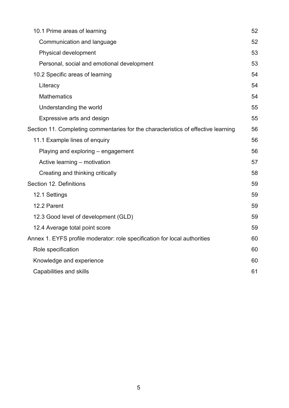| 10.1 Prime areas of learning                                                      | 52 |
|-----------------------------------------------------------------------------------|----|
| Communication and language                                                        | 52 |
| Physical development                                                              | 53 |
| Personal, social and emotional development                                        | 53 |
| 10.2 Specific areas of learning                                                   | 54 |
| Literacy                                                                          | 54 |
| <b>Mathematics</b>                                                                | 54 |
| Understanding the world                                                           | 55 |
| Expressive arts and design                                                        | 55 |
| Section 11. Completing commentaries for the characteristics of effective learning | 56 |
| 11.1 Example lines of enquiry                                                     | 56 |
| Playing and exploring – engagement                                                | 56 |
| Active learning - motivation                                                      | 57 |
| Creating and thinking critically                                                  | 58 |
| Section 12. Definitions                                                           | 59 |
| 12.1 Settings                                                                     | 59 |
| 12.2 Parent                                                                       | 59 |
| 12.3 Good level of development (GLD)                                              | 59 |
| 12.4 Average total point score                                                    | 59 |
| Annex 1. EYFS profile moderator: role specification for local authorities         | 60 |
| Role specification                                                                | 60 |
| Knowledge and experience                                                          | 60 |
| Capabilities and skills                                                           | 61 |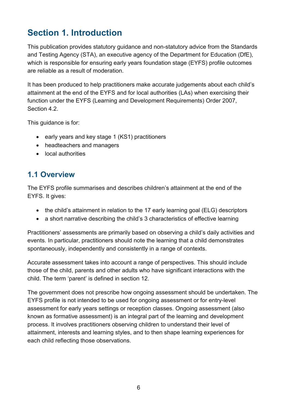# <span id="page-5-0"></span>**Section 1. Introduction**

This publication provides statutory guidance and non-statutory advice from the Standards and Testing Agency (STA), an executive agency of the Department for Education (DfE), which is responsible for ensuring early years foundation stage (EYFS) profile outcomes are reliable as a result of moderation.

It has been produced to help practitioners make accurate judgements about each child's attainment at the end of the EYFS and for local authorities (LAs) when exercising their function under the EYFS (Learning and Development Requirements) Order 2007, Section 4.2.

This guidance is for:

- early years and key stage 1 (KS1) practitioners
- headteachers and managers
- local authorities

## <span id="page-5-1"></span>**1.1 Overview**

The EYFS profile summarises and describes children's attainment at the end of the EYFS. It gives:

- the child's attainment in relation to the 17 early learning goal (ELG) descriptors
- a short narrative describing the child's 3 characteristics of effective learning

Practitioners' assessments are primarily based on observing a child's daily activities and events. In particular, practitioners should note the learning that a child demonstrates spontaneously, independently and consistently in a range of contexts.

Accurate assessment takes into account a range of perspectives. This should include those of the child, parents and other adults who have significant interactions with the child. The term 'parent' is defined in section 12.

The government does not prescribe how ongoing assessment should be undertaken. The EYFS profile is not intended to be used for ongoing assessment or for entry-level assessment for early years settings or reception classes. Ongoing assessment (also known as formative assessment) is an integral part of the learning and development process. It involves practitioners observing children to understand their level of attainment, interests and learning styles, and to then shape learning experiences for each child reflecting those observations.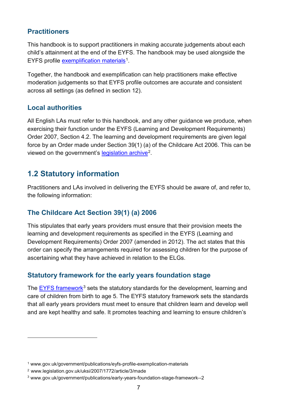#### <span id="page-6-0"></span>**Practitioners**

This handbook is to support practitioners in making accurate judgements about each child's attainment at the end of the EYFS. The handbook may be used alongside the EYFS profile [exemplification materials](http://www.gov.uk/government/publications/eyfs-profile-exemplication-materials)<sup>1</sup>.

Together, the handbook and exemplification can help practitioners make effective moderation judgements so that EYFS profile outcomes are accurate and consistent across all settings (as defined in section 12).

#### <span id="page-6-1"></span>**Local authorities**

All English LAs must refer to this handbook, and any other guidance we produce, when exercising their function under the EYFS (Learning and Development Requirements) Order 2007, Section 4.2. The learning and development requirements are given legal force by an Order made under Section 39(1) (a) of the Childcare Act 2006. This can be viewed on the government's [legislation archive](http://www.legislation.gov.uk/uksi/2007/1772/article/3/made)[2.](#page-6-6)

## <span id="page-6-2"></span>**1.2 Statutory information**

Practitioners and LAs involved in delivering the EYFS should be aware of, and refer to, the following information:

#### <span id="page-6-3"></span>**The Childcare Act Section 39(1) (a) 2006**

This stipulates that early years providers must ensure that their provision meets the learning and development requirements as specified in the EYFS (Learning and Development Requirements) Order 2007 (amended in 2012). The act states that this order can specify the arrangements required for assessing children for the purpose of ascertaining what they have achieved in relation to the ELGs.

#### <span id="page-6-4"></span>**Statutory framework for the early years foundation stage**

The [EYFS framework](http://www.gov.uk/government/publications/early-years-foundation-stage-framework--2)<sup>[3](#page-6-7)</sup> sets the statutory standards for the development, learning and care of children from birth to age 5. The EYFS statutory framework sets the standards that all early years providers must meet to ensure that children learn and develop well and are kept healthy and safe. It promotes teaching and learning to ensure children's

 $\overline{a}$ 

<span id="page-6-5"></span><sup>1</sup> www.gov.uk/government/publications/eyfs-profile-exemplication-materials

<span id="page-6-6"></span><sup>2</sup> www.legislation.gov.uk/uksi/2007/1772/article/3/made

<span id="page-6-7"></span><sup>3</sup> www.gov.uk/government/publications/early-years-foundation-stage-framework--2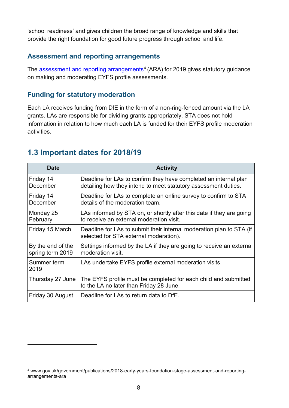'school readiness' and gives children the broad range of knowledge and skills that provide the right foundation for good future progress through school and life.

#### <span id="page-7-0"></span>**Assessment and reporting arrangements**

The [assessment and reporting arrangements](https://www.gov.uk/government/publications/2019-early-years-foundation-stage-assessment-and-reporting-arrangements-ara)<sup>[4](#page-7-3)</sup> (ARA) for 2019 gives statutory guidance on making and moderating EYFS profile assessments.

#### <span id="page-7-1"></span>**Funding for statutory moderation**

Each LA receives funding from DfE in the form of a non-ring-fenced amount via the LA grants. LAs are responsible for dividing grants appropriately. STA does not hold information in relation to how much each LA is funded for their EYFS profile moderation activities.

### <span id="page-7-2"></span>**1.3 Important dates for 2018/19**

 $\overline{a}$ 

| <b>Date</b>                           | <b>Activity</b>                                                                                                                    |
|---------------------------------------|------------------------------------------------------------------------------------------------------------------------------------|
| Friday 14<br>December                 | Deadline for LAs to confirm they have completed an internal plan<br>detailing how they intend to meet statutory assessment duties. |
| Friday 14<br>December                 | Deadline for LAs to complete an online survey to confirm to STA<br>details of the moderation team.                                 |
| Monday 25<br>February                 | LAs informed by STA on, or shortly after this date if they are going<br>to receive an external moderation visit.                   |
| Friday 15 March                       | Deadline for LAs to submit their internal moderation plan to STA (if<br>selected for STA external moderation).                     |
| By the end of the<br>spring term 2019 | Settings informed by the LA if they are going to receive an external<br>moderation visit.                                          |
| Summer term<br>2019                   | LAs undertake EYFS profile external moderation visits.                                                                             |
| Thursday 27 June                      | The EYFS profile must be completed for each child and submitted<br>to the LA no later than Friday 28 June.                         |
| Friday 30 August                      | Deadline for LAs to return data to DfE.                                                                                            |

<span id="page-7-3"></span><sup>4</sup> www.gov.uk/government/publications/2018-early-years-foundation-stage-assessment-and-reportingarrangements-ara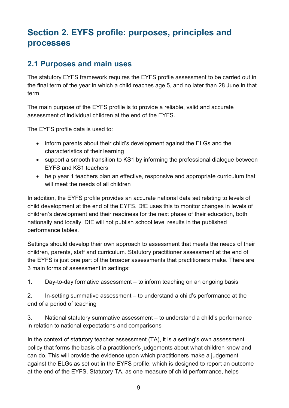# <span id="page-8-0"></span>**Section 2. EYFS profile: purposes, principles and processes**

## <span id="page-8-1"></span>**2.1 Purposes and main uses**

The statutory EYFS framework requires the EYFS profile assessment to be carried out in the final term of the year in which a child reaches age 5, and no later than 28 June in that term.

The main purpose of the EYFS profile is to provide a reliable, valid and accurate assessment of individual children at the end of the EYFS.

The EYFS profile data is used to:

- inform parents about their child's development against the ELGs and the characteristics of their learning
- support a smooth transition to KS1 by informing the professional dialogue between EYFS and KS1 teachers
- help year 1 teachers plan an effective, responsive and appropriate curriculum that will meet the needs of all children

In addition, the EYFS profile provides an accurate national data set relating to levels of child development at the end of the EYFS. DfE uses this to monitor changes in levels of children's development and their readiness for the next phase of their education, both nationally and locally. DfE will not publish school level results in the published performance tables.

Settings should develop their own approach to assessment that meets the needs of their children, parents, staff and curriculum. Statutory practitioner assessment at the end of the EYFS is just one part of the broader assessments that practitioners make. There are 3 main forms of assessment in settings:

1. Day-to-day formative assessment – to inform teaching on an ongoing basis

2. In-setting summative assessment – to understand a child's performance at the end of a period of teaching

3. National statutory summative assessment – to understand a child's performance in relation to national expectations and comparisons

In the context of statutory teacher assessment (TA), it is a setting's own assessment policy that forms the basis of a practitioner's judgements about what children know and can do. This will provide the evidence upon which practitioners make a judgement against the ELGs as set out in the EYFS profile, which is designed to report an outcome at the end of the EYFS. Statutory TA, as one measure of child performance, helps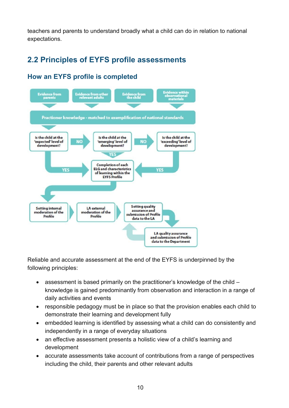teachers and parents to understand broadly what a child can do in relation to national expectations.

## <span id="page-9-0"></span>**2.2 Principles of EYFS profile assessments**

#### Evidence from<br>parents lence from oth<br>elevant adults vidence from<br>the child Practioner knowledge - matched to exemplification of national standards Is the child at the Is the child at the Is the child at the 'expected' level of emerging' level of 'exceeding' level of development? development? development? **Completion of each ELG** and characteristics **VES** of learning within the **EYFS Profile Setting quality Setting internal** LA external assurance and moderation of the moderation of the submission of Profile Profile Profile data to the LA **LA quality assurance** and submission of Profile data to the Department

#### <span id="page-9-1"></span>**How an EYFS profile is completed**

Reliable and accurate assessment at the end of the EYFS is underpinned by the following principles:

- assessment is based primarily on the practitioner's knowledge of the child knowledge is gained predominantly from observation and interaction in a range of daily activities and events
- responsible pedagogy must be in place so that the provision enables each child to demonstrate their learning and development fully
- embedded learning is identified by assessing what a child can do consistently and independently in a range of everyday situations
- an effective assessment presents a holistic view of a child's learning and development
- accurate assessments take account of contributions from a range of perspectives including the child, their parents and other relevant adults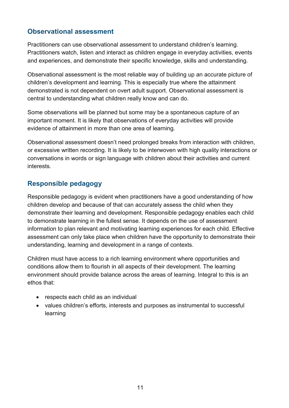#### <span id="page-10-0"></span>**Observational assessment**

Practitioners can use observational assessment to understand children's learning. Practitioners watch, listen and interact as children engage in everyday activities, events and experiences, and demonstrate their specific knowledge, skills and understanding.

Observational assessment is the most reliable way of building up an accurate picture of children's development and learning. This is especially true where the attainment demonstrated is not dependent on overt adult support. Observational assessment is central to understanding what children really know and can do.

Some observations will be planned but some may be a spontaneous capture of an important moment. It is likely that observations of everyday activities will provide evidence of attainment in more than one area of learning.

Observational assessment doesn't need prolonged breaks from interaction with children, or excessive written recording. It is likely to be interwoven with high quality interactions or conversations in words or sign language with children about their activities and current interests.

#### <span id="page-10-1"></span>**Responsible pedagogy**

Responsible pedagogy is evident when practitioners have a good understanding of how children develop and because of that can accurately assess the child when they demonstrate their learning and development. Responsible pedagogy enables each child to demonstrate learning in the fullest sense. It depends on the use of assessment information to plan relevant and motivating learning experiences for each child. Effective assessment can only take place when children have the opportunity to demonstrate their understanding, learning and development in a range of contexts.

Children must have access to a rich learning environment where opportunities and conditions allow them to flourish in all aspects of their development. The learning environment should provide balance across the areas of learning. Integral to this is an ethos that:

- respects each child as an individual
- values children's efforts, interests and purposes as instrumental to successful learning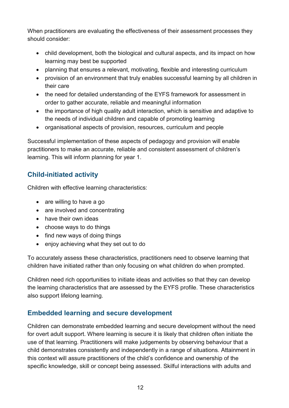When practitioners are evaluating the effectiveness of their assessment processes they should consider:

- child development, both the biological and cultural aspects, and its impact on how learning may best be supported
- planning that ensures a relevant, motivating, flexible and interesting curriculum
- provision of an environment that truly enables successful learning by all children in their care
- the need for detailed understanding of the EYFS framework for assessment in order to gather accurate, reliable and meaningful information
- the importance of high quality adult interaction, which is sensitive and adaptive to the needs of individual children and capable of promoting learning
- organisational aspects of provision, resources, curriculum and people

Successful implementation of these aspects of pedagogy and provision will enable practitioners to make an accurate, reliable and consistent assessment of children's learning. This will inform planning for year 1.

#### <span id="page-11-0"></span>**Child-initiated activity**

Children with effective learning characteristics:

- are willing to have a go
- are involved and concentrating
- have their own ideas
- choose ways to do things
- find new ways of doing things
- enjoy achieving what they set out to do

To accurately assess these characteristics, practitioners need to observe learning that children have initiated rather than only focusing on what children do when prompted.

Children need rich opportunities to initiate ideas and activities so that they can develop the learning characteristics that are assessed by the EYFS profile. These characteristics also support lifelong learning.

#### <span id="page-11-1"></span>**Embedded learning and secure development**

Children can demonstrate embedded learning and secure development without the need for overt adult support. Where learning is secure it is likely that children often initiate the use of that learning. Practitioners will make judgements by observing behaviour that a child demonstrates consistently and independently in a range of situations. Attainment in this context will assure practitioners of the child's confidence and ownership of the specific knowledge, skill or concept being assessed. Skilful interactions with adults and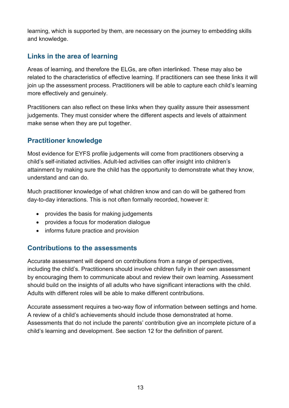learning, which is supported by them, are necessary on the journey to embedding skills and knowledge.

#### <span id="page-12-0"></span>**Links in the area of learning**

Areas of learning, and therefore the ELGs, are often interlinked. These may also be related to the characteristics of effective learning. If practitioners can see these links it will join up the assessment process. Practitioners will be able to capture each child's learning more effectively and genuinely.

Practitioners can also reflect on these links when they quality assure their assessment judgements. They must consider where the different aspects and levels of attainment make sense when they are put together.

#### <span id="page-12-1"></span>**Practitioner knowledge**

Most evidence for EYFS profile judgements will come from practitioners observing a child's self-initiated activities. Adult-led activities can offer insight into children's attainment by making sure the child has the opportunity to demonstrate what they know, understand and can do.

Much practitioner knowledge of what children know and can do will be gathered from day-to-day interactions. This is not often formally recorded, however it:

- provides the basis for making judgements
- provides a focus for moderation dialogue
- informs future practice and provision

#### <span id="page-12-2"></span>**Contributions to the assessments**

Accurate assessment will depend on contributions from a range of perspectives, including the child's. Practitioners should involve children fully in their own assessment by encouraging them to communicate about and review their own learning. Assessment should build on the insights of all adults who have significant interactions with the child. Adults with different roles will be able to make different contributions.

Accurate assessment requires a two-way flow of information between settings and home. A review of a child's achievements should include those demonstrated at home. Assessments that do not include the parents' contribution give an incomplete picture of a child's learning and development. See section 12 for the definition of parent.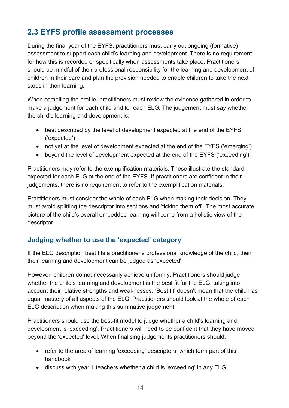## <span id="page-13-0"></span>**2.3 EYFS profile assessment processes**

During the final year of the EYFS, practitioners must carry out ongoing (formative) assessment to support each child's learning and development. There is no requirement for how this is recorded or specifically when assessments take place. Practitioners should be mindful of their professional responsibility for the learning and development of children in their care and plan the provision needed to enable children to take the next steps in their learning.

When compiling the profile, practitioners must review the evidence gathered in order to make a judgement for each child and for each ELG. The judgement must say whether the child's learning and development is:

- best described by the level of development expected at the end of the EYFS ('expected')
- not yet at the level of development expected at the end of the EYFS ('emerging')
- beyond the level of development expected at the end of the EYFS ('exceeding')

Practitioners may refer to the exemplification materials. These illustrate the standard expected for each ELG at the end of the EYFS. If practitioners are confident in their judgements, there is no requirement to refer to the exemplification materials.

Practitioners must consider the whole of each ELG when making their decision. They must avoid splitting the descriptor into sections and 'ticking them off'. The most accurate picture of the child's overall embedded learning will come from a holistic view of the descriptor.

#### <span id="page-13-1"></span>**Judging whether to use the 'expected' category**

If the ELG description best fits a practitioner's professional knowledge of the child, then their learning and development can be judged as 'expected'.

However, children do not necessarily achieve uniformly. Practitioners should judge whether the child's learning and development is the best fit for the ELG, taking into account their relative strengths and weaknesses. 'Best fit' doesn't mean that the child has equal mastery of all aspects of the ELG. Practitioners should look at the whole of each ELG description when making this summative judgement.

Practitioners should use the best-fit model to judge whether a child's learning and development is 'exceeding'. Practitioners will need to be confident that they have moved beyond the 'expected' level. When finalising judgements practitioners should:

- refer to the area of learning 'exceeding' descriptors, which form part of this handbook
- discuss with year 1 teachers whether a child is 'exceeding' in any ELG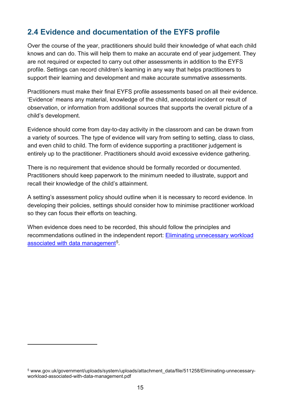## <span id="page-14-0"></span>**2.4 Evidence and documentation of the EYFS profile**

Over the course of the year, practitioners should build their knowledge of what each child knows and can do. This will help them to make an accurate end of year judgement. They are not required or expected to carry out other assessments in addition to the EYFS profile. Settings can record children's learning in any way that helps practitioners to support their learning and development and make accurate summative assessments.

Practitioners must make their final EYFS profile assessments based on all their evidence. 'Evidence' means any material, knowledge of the child, anecdotal incident or result of observation, or information from additional sources that supports the overall picture of a child's development.

Evidence should come from day-to-day activity in the classroom and can be drawn from a variety of sources. The type of evidence will vary from setting to setting, class to class, and even child to child. The form of evidence supporting a practitioner judgement is entirely up to the practitioner. Practitioners should avoid excessive evidence gathering.

There is no requirement that evidence should be formally recorded or documented. Practitioners should keep paperwork to the minimum needed to illustrate, support and recall their knowledge of the child's attainment.

A setting's assessment policy should outline when it is necessary to record evidence. In developing their policies, settings should consider how to minimise practitioner workload so they can focus their efforts on teaching.

When evidence does need to be recorded, this should follow the principles and recommendations outlined in the independent report: [Eliminating unnecessary workload](http://www.gov.uk/government/uploads/system/uploads/attachment_data/file/511258/Eliminating-unnecessary-workload-associated-with-data-management.pdf)  [associated with data management](http://www.gov.uk/government/uploads/system/uploads/attachment_data/file/511258/Eliminating-unnecessary-workload-associated-with-data-management.pdf)<sup>5</sup>.

 $\overline{a}$ 

<span id="page-14-1"></span><sup>5</sup> www.gov.uk/government/uploads/system/uploads/attachment\_data/file/511258/Eliminating-unnecessaryworkload-associated-with-data-management.pdf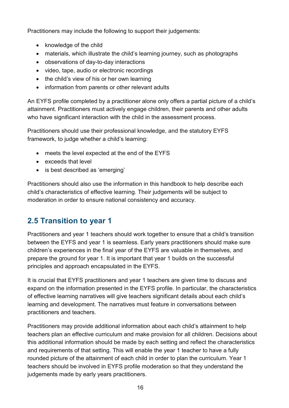Practitioners may include the following to support their judgements:

- knowledge of the child
- materials, which illustrate the child's learning journey, such as photographs
- observations of day-to-day interactions
- video, tape, audio or electronic recordings
- the child's view of his or her own learning
- information from parents or other relevant adults

An EYFS profile completed by a practitioner alone only offers a partial picture of a child's attainment. Practitioners must actively engage children, their parents and other adults who have significant interaction with the child in the assessment process.

Practitioners should use their professional knowledge, and the statutory EYFS framework, to judge whether a child's learning:

- meets the level expected at the end of the EYFS
- exceeds that level
- is best described as 'emerging'

Practitioners should also use the information in this handbook to help describe each child's characteristics of effective learning. Their judgements will be subject to moderation in order to ensure national consistency and accuracy.

## <span id="page-15-0"></span>**2.5 Transition to year 1**

Practitioners and year 1 teachers should work together to ensure that a child's transition between the EYFS and year 1 is seamless. Early years practitioners should make sure children's experiences in the final year of the EYFS are valuable in themselves, and prepare the ground for year 1. It is important that year 1 builds on the successful principles and approach encapsulated in the EYFS.

It is crucial that EYFS practitioners and year 1 teachers are given time to discuss and expand on the information presented in the EYFS profile. In particular, the characteristics of effective learning narratives will give teachers significant details about each child's learning and development. The narratives must feature in conversations between practitioners and teachers.

Practitioners may provide additional information about each child's attainment to help teachers plan an effective curriculum and make provision for all children. Decisions about this additional information should be made by each setting and reflect the characteristics and requirements of that setting. This will enable the year 1 teacher to have a fully rounded picture of the attainment of each child in order to plan the curriculum. Year 1 teachers should be involved in EYFS profile moderation so that they understand the judgements made by early years practitioners.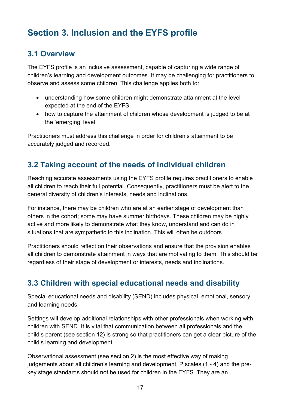# <span id="page-16-0"></span>**Section 3. Inclusion and the EYFS profile**

## <span id="page-16-1"></span>**3.1 Overview**

The EYFS profile is an inclusive assessment, capable of capturing a wide range of children's learning and development outcomes. It may be challenging for practitioners to observe and assess some children. This challenge applies both to:

- understanding how some children might demonstrate attainment at the level expected at the end of the EYFS
- how to capture the attainment of children whose development is judged to be at the 'emerging' level

Practitioners must address this challenge in order for children's attainment to be accurately judged and recorded.

## <span id="page-16-2"></span>**3.2 Taking account of the needs of individual children**

Reaching accurate assessments using the EYFS profile requires practitioners to enable all children to reach their full potential. Consequently, practitioners must be alert to the general diversity of children's interests, needs and inclinations.

For instance, there may be children who are at an earlier stage of development than others in the cohort; some may have summer birthdays. These children may be highly active and more likely to demonstrate what they know, understand and can do in situations that are sympathetic to this inclination. This will often be outdoors.

Practitioners should reflect on their observations and ensure that the provision enables all children to demonstrate attainment in ways that are motivating to them. This should be regardless of their stage of development or interests, needs and inclinations.

## <span id="page-16-3"></span>**3.3 Children with special educational needs and disability**

Special educational needs and disability (SEND) includes physical, emotional, sensory and learning needs.

Settings will develop additional relationships with other professionals when working with children with SEND. It is vital that communication between all professionals and the child's parent (see section 12) is strong so that practitioners can get a clear picture of the child's learning and development.

Observational assessment (see section 2) is the most effective way of making judgements about all children's learning and development. P scales (1 - 4) and the prekey stage standards should not be used for children in the EYFS. They are an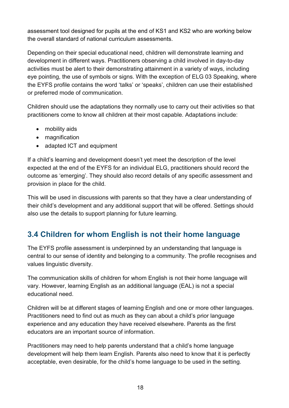assessment tool designed for pupils at the end of KS1 and KS2 who are working below the overall standard of national curriculum assessments.

Depending on their special educational need, children will demonstrate learning and development in different ways. Practitioners observing a child involved in day-to-day activities must be alert to their demonstrating attainment in a variety of ways, including eye pointing, the use of symbols or signs. With the exception of ELG 03 Speaking, where the EYFS profile contains the word 'talks' or 'speaks', children can use their established or preferred mode of communication.

Children should use the adaptations they normally use to carry out their activities so that practitioners come to know all children at their most capable. Adaptations include:

- mobility aids
- magnification
- adapted ICT and equipment

If a child's learning and development doesn't yet meet the description of the level expected at the end of the EYFS for an individual ELG, practitioners should record the outcome as 'emerging'. They should also record details of any specific assessment and provision in place for the child.

This will be used in discussions with parents so that they have a clear understanding of their child's development and any additional support that will be offered. Settings should also use the details to support planning for future learning.

## <span id="page-17-0"></span>**3.4 Children for whom English is not their home language**

The EYFS profile assessment is underpinned by an understanding that language is central to our sense of identity and belonging to a community. The profile recognises and values linguistic diversity.

The communication skills of children for whom English is not their home language will vary. However, learning English as an additional language (EAL) is not a special educational need.

Children will be at different stages of learning English and one or more other languages. Practitioners need to find out as much as they can about a child's prior language experience and any education they have received elsewhere. Parents as the first educators are an important source of information.

Practitioners may need to help parents understand that a child's home language development will help them learn English. Parents also need to know that it is perfectly acceptable, even desirable, for the child's home language to be used in the setting.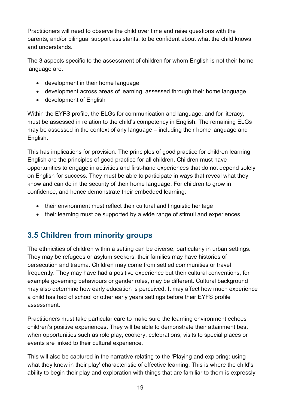Practitioners will need to observe the child over time and raise questions with the parents, and/or bilingual support assistants, to be confident about what the child knows and understands.

The 3 aspects specific to the assessment of children for whom English is not their home language are:

- development in their home language
- development across areas of learning, assessed through their home language
- development of English

Within the EYFS profile, the ELGs for communication and language, and for literacy, must be assessed in relation to the child's competency in English. The remaining ELGs may be assessed in the context of any language – including their home language and English.

This has implications for provision. The principles of good practice for children learning English are the principles of good practice for all children. Children must have opportunities to engage in activities and first-hand experiences that do not depend solely on English for success. They must be able to participate in ways that reveal what they know and can do in the security of their home language. For children to grow in confidence, and hence demonstrate their embedded learning:

- their environment must reflect their cultural and linguistic heritage
- their learning must be supported by a wide range of stimuli and experiences

## <span id="page-18-0"></span>**3.5 Children from minority groups**

The ethnicities of children within a setting can be diverse, particularly in urban settings. They may be refugees or asylum seekers, their families may have histories of persecution and trauma. Children may come from settled communities or travel frequently. They may have had a positive experience but their cultural conventions, for example governing behaviours or gender roles, may be different. Cultural background may also determine how early education is perceived. It may affect how much experience a child has had of school or other early years settings before their EYFS profile assessment.

Practitioners must take particular care to make sure the learning environment echoes children's positive experiences. They will be able to demonstrate their attainment best when opportunities such as role play, cookery, celebrations, visits to special places or events are linked to their cultural experience.

This will also be captured in the narrative relating to the 'Playing and exploring: using what they know in their play' characteristic of effective learning. This is where the child's ability to begin their play and exploration with things that are familiar to them is expressly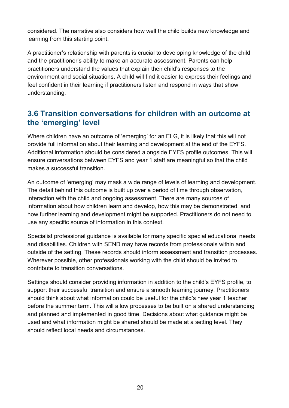considered. The narrative also considers how well the child builds new knowledge and learning from this starting point.

A practitioner's relationship with parents is crucial to developing knowledge of the child and the practitioner's ability to make an accurate assessment. Parents can help practitioners understand the values that explain their child's responses to the environment and social situations. A child will find it easier to express their feelings and feel confident in their learning if practitioners listen and respond in ways that show understanding.

## <span id="page-19-0"></span>**3.6 Transition conversations for children with an outcome at the 'emerging' level**

Where children have an outcome of 'emerging' for an ELG, it is likely that this will not provide full information about their learning and development at the end of the EYFS. Additional information should be considered alongside EYFS profile outcomes. This will ensure conversations between EYFS and year 1 staff are meaningful so that the child makes a successful transition.

An outcome of 'emerging' may mask a wide range of levels of learning and development. The detail behind this outcome is built up over a period of time through observation, interaction with the child and ongoing assessment. There are many sources of information about how children learn and develop, how this may be demonstrated, and how further learning and development might be supported. Practitioners do not need to use any specific source of information in this context.

Specialist professional guidance is available for many specific special educational needs and disabilities. Children with SEND may have records from professionals within and outside of the setting. These records should inform assessment and transition processes. Wherever possible, other professionals working with the child should be invited to contribute to transition conversations.

Settings should consider providing information in addition to the child's EYFS profile, to support their successful transition and ensure a smooth learning journey. Practitioners should think about what information could be useful for the child's new year 1 teacher before the summer term. This will allow processes to be built on a shared understanding and planned and implemented in good time. Decisions about what guidance might be used and what information might be shared should be made at a setting level. They should reflect local needs and circumstances.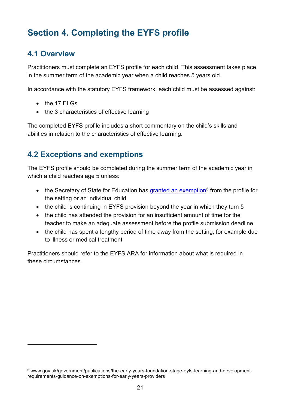# <span id="page-20-0"></span>**Section 4. Completing the EYFS profile**

## <span id="page-20-1"></span>**4.1 Overview**

Practitioners must complete an EYFS profile for each child. This assessment takes place in the summer term of the academic year when a child reaches 5 years old.

In accordance with the statutory EYFS framework, each child must be assessed against:

• the 17 ELGs

 $\overline{a}$ 

• the 3 characteristics of effective learning

The completed EYFS profile includes a short commentary on the child's skills and abilities in relation to the characteristics of effective learning.

## <span id="page-20-2"></span>**4.2 Exceptions and exemptions**

The EYFS profile should be completed during the summer term of the academic year in which a child reaches age 5 unless:

- the Secretary of State for Education has granted [an exemption](http://www.gov.uk/government/publications/the-early-years-foundation-stage-eyfs-learning-and-development-requirements-guidance-on-exemptions-for-early-years-providers)<sup>[6](#page-20-3)</sup> from the profile for the setting or an individual child
- the child is continuing in EYFS provision beyond the year in which they turn 5
- the child has attended the provision for an insufficient amount of time for the teacher to make an adequate assessment before the profile submission deadline
- the child has spent a lengthy period of time away from the setting, for example due to illness or medical treatment

Practitioners should refer to the EYFS ARA for information about what is required in these circumstances.

<span id="page-20-3"></span><sup>6</sup> www.gov.uk/government/publications/the-early-years-foundation-stage-eyfs-learning-and-developmentrequirements-guidance-on-exemptions-for-early-years-providers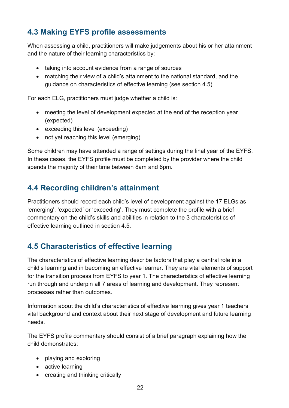## <span id="page-21-0"></span>**4.3 Making EYFS profile assessments**

When assessing a child, practitioners will make judgements about his or her attainment and the nature of their learning characteristics by:

- taking into account evidence from a range of sources
- matching their view of a child's attainment to the national standard, and the guidance on characteristics of effective learning (see section 4.5)

For each ELG, practitioners must judge whether a child is:

- meeting the level of development expected at the end of the reception year (expected)
- exceeding this level (exceeding)
- not yet reaching this level (emerging)

Some children may have attended a range of settings during the final year of the EYFS. In these cases, the EYFS profile must be completed by the provider where the child spends the majority of their time between 8am and 6pm.

## <span id="page-21-1"></span>**4.4 Recording children's attainment**

Practitioners should record each child's level of development against the 17 ELGs as 'emerging', 'expected' or 'exceeding'. They must complete the profile with a brief commentary on the child's skills and abilities in relation to the 3 characteristics of effective learning outlined in section 4.5.

## <span id="page-21-2"></span>**4.5 Characteristics of effective learning**

The characteristics of effective learning describe factors that play a central role in a child's learning and in becoming an effective learner. They are vital elements of support for the transition process from EYFS to year 1. The characteristics of effective learning run through and underpin all 7 areas of learning and development. They represent processes rather than outcomes.

Information about the child's characteristics of effective learning gives year 1 teachers vital background and context about their next stage of development and future learning needs.

The EYFS profile commentary should consist of a brief paragraph explaining how the child demonstrates:

- playing and exploring
- active learning
- creating and thinking critically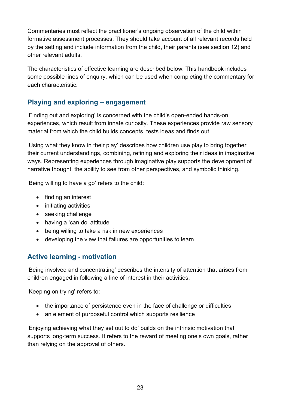Commentaries must reflect the practitioner's ongoing observation of the child within formative assessment processes. They should take account of all relevant records held by the setting and include information from the child, their parents (see section 12) and other relevant adults.

The characteristics of effective learning are described below. This handbook includes some possible lines of enquiry, which can be used when completing the commentary for each characteristic.

#### <span id="page-22-0"></span>**Playing and exploring – engagement**

'Finding out and exploring' is concerned with the child's open-ended hands-on experiences, which result from innate curiosity. These experiences provide raw sensory material from which the child builds concepts, tests ideas and finds out.

'Using what they know in their play' describes how children use play to bring together their current understandings, combining, refining and exploring their ideas in imaginative ways. Representing experiences through imaginative play supports the development of narrative thought, the ability to see from other perspectives, and symbolic thinking.

'Being willing to have a go' refers to the child:

- finding an interest
- initiating activities
- seeking challenge
- having a 'can do' attitude
- being willing to take a risk in new experiences
- developing the view that failures are opportunities to learn

#### <span id="page-22-1"></span>**Active learning - motivation**

'Being involved and concentrating' describes the intensity of attention that arises from children engaged in following a line of interest in their activities.

'Keeping on trying' refers to:

- the importance of persistence even in the face of challenge or difficulties
- an element of purposeful control which supports resilience

'Enjoying achieving what they set out to do' builds on the intrinsic motivation that supports long-term success. It refers to the reward of meeting one's own goals, rather than relying on the approval of others.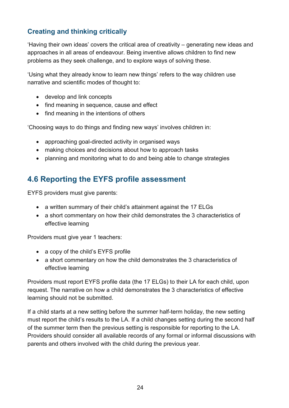#### <span id="page-23-0"></span>**Creating and thinking critically**

'Having their own ideas' covers the critical area of creativity – generating new ideas and approaches in all areas of endeavour. Being inventive allows children to find new problems as they seek challenge, and to explore ways of solving these.

'Using what they already know to learn new things' refers to the way children use narrative and scientific modes of thought to:

- develop and link concepts
- find meaning in sequence, cause and effect
- find meaning in the intentions of others

'Choosing ways to do things and finding new ways' involves children in:

- approaching goal-directed activity in organised ways
- making choices and decisions about how to approach tasks
- planning and monitoring what to do and being able to change strategies

## <span id="page-23-1"></span>**4.6 Reporting the EYFS profile assessment**

EYFS providers must give parents:

- a written summary of their child's attainment against the 17 ELGs
- a short commentary on how their child demonstrates the 3 characteristics of effective learning

Providers must give year 1 teachers:

- a copy of the child's EYFS profile
- a short commentary on how the child demonstrates the 3 characteristics of effective learning

Providers must report EYFS profile data (the 17 ELGs) to their LA for each child, upon request. The narrative on how a child demonstrates the 3 characteristics of effective learning should not be submitted.

If a child starts at a new setting before the summer half-term holiday, the new setting must report the child's results to the LA. If a child changes setting during the second half of the summer term then the previous setting is responsible for reporting to the LA. Providers should consider all available records of any formal or informal discussions with parents and others involved with the child during the previous year.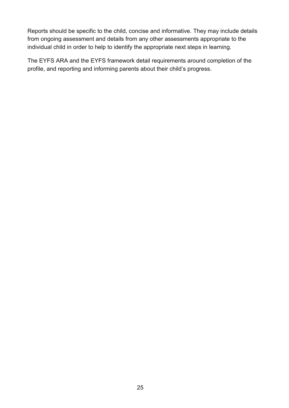Reports should be specific to the child, concise and informative. They may include details from ongoing assessment and details from any other assessments appropriate to the individual child in order to help to identify the appropriate next steps in learning.

The EYFS ARA and the EYFS framework detail requirements around completion of the profile, and reporting and informing parents about their child's progress.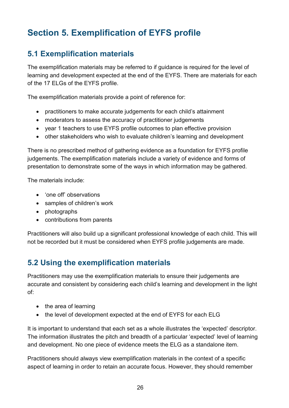# <span id="page-25-0"></span>**Section 5. Exemplification of EYFS profile**

## <span id="page-25-1"></span>**5.1 Exemplification materials**

The exemplification materials may be referred to if guidance is required for the level of learning and development expected at the end of the EYFS. There are materials for each of the 17 ELGs of the EYFS profile.

The exemplification materials provide a point of reference for:

- practitioners to make accurate judgements for each child's attainment
- moderators to assess the accuracy of practitioner judgements
- year 1 teachers to use EYFS profile outcomes to plan effective provision
- other stakeholders who wish to evaluate children's learning and development

There is no prescribed method of gathering evidence as a foundation for EYFS profile judgements. The exemplification materials include a variety of evidence and forms of presentation to demonstrate some of the ways in which information may be gathered.

The materials include:

- 'one off' observations
- samples of children's work
- photographs
- contributions from parents

Practitioners will also build up a significant professional knowledge of each child. This will not be recorded but it must be considered when EYFS profile judgements are made.

#### <span id="page-25-2"></span>**5.2 Using the exemplification materials**

Practitioners may use the exemplification materials to ensure their judgements are accurate and consistent by considering each child's learning and development in the light of:

- the area of learning
- the level of development expected at the end of EYFS for each ELG

It is important to understand that each set as a whole illustrates the 'expected' descriptor. The information illustrates the pitch and breadth of a particular 'expected' level of learning and development. No one piece of evidence meets the ELG as a standalone item.

Practitioners should always view exemplification materials in the context of a specific aspect of learning in order to retain an accurate focus. However, they should remember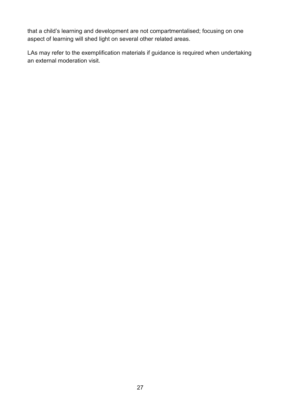that a child's learning and development are not compartmentalised; focusing on one aspect of learning will shed light on several other related areas.

LAs may refer to the exemplification materials if guidance is required when undertaking an external moderation visit.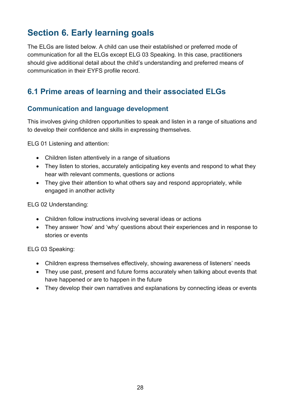# <span id="page-27-0"></span>**Section 6. Early learning goals**

The ELGs are listed below. A child can use their established or preferred mode of communication for all the ELGs except ELG 03 Speaking. In this case, practitioners should give additional detail about the child's understanding and preferred means of communication in their EYFS profile record.

## <span id="page-27-1"></span>**6.1 Prime areas of learning and their associated ELGs**

#### <span id="page-27-2"></span>**Communication and language development**

This involves giving children opportunities to speak and listen in a range of situations and to develop their confidence and skills in expressing themselves.

ELG 01 Listening and attention:

- Children listen attentively in a range of situations
- They listen to stories, accurately anticipating key events and respond to what they hear with relevant comments, questions or actions
- They give their attention to what others say and respond appropriately, while engaged in another activity

ELG 02 Understanding:

- Children follow instructions involving several ideas or actions
- They answer 'how' and 'why' questions about their experiences and in response to stories or events

ELG 03 Speaking:

- Children express themselves effectively, showing awareness of listeners' needs
- They use past, present and future forms accurately when talking about events that have happened or are to happen in the future
- They develop their own narratives and explanations by connecting ideas or events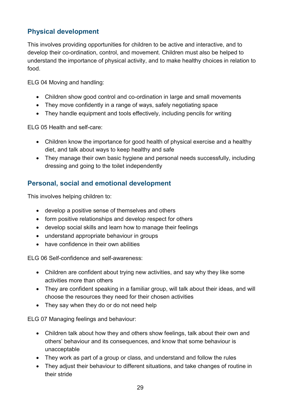#### <span id="page-28-0"></span>**Physical development**

This involves providing opportunities for children to be active and interactive, and to develop their co-ordination, control, and movement. Children must also be helped to understand the importance of physical activity, and to make healthy choices in relation to food.

ELG 04 Moving and handling:

- Children show good control and co-ordination in large and small movements
- They move confidently in a range of ways, safely negotiating space
- They handle equipment and tools effectively, including pencils for writing

ELG 05 Health and self-care:

- Children know the importance for good health of physical exercise and a healthy diet, and talk about ways to keep healthy and safe
- They manage their own basic hygiene and personal needs successfully, including dressing and going to the toilet independently

#### <span id="page-28-1"></span>**Personal, social and emotional development**

This involves helping children to:

- develop a positive sense of themselves and others
- form positive relationships and develop respect for others
- develop social skills and learn how to manage their feelings
- understand appropriate behaviour in groups
- have confidence in their own abilities

ELG 06 Self-confidence and self-awareness:

- Children are confident about trying new activities, and say why they like some activities more than others
- They are confident speaking in a familiar group, will talk about their ideas, and will choose the resources they need for their chosen activities
- They say when they do or do not need help

ELG 07 Managing feelings and behaviour:

- Children talk about how they and others show feelings, talk about their own and others' behaviour and its consequences, and know that some behaviour is unacceptable
- They work as part of a group or class, and understand and follow the rules
- They adjust their behaviour to different situations, and take changes of routine in their stride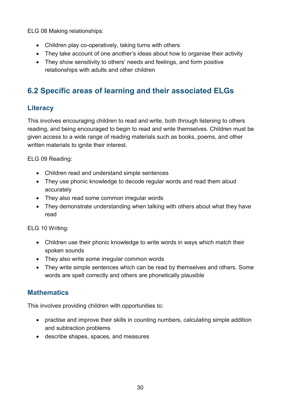ELG 08 Making relationships:

- Children play co-operatively, taking turns with others
- They take account of one another's ideas about how to organise their activity
- They show sensitivity to others' needs and feelings, and form positive relationships with adults and other children

## <span id="page-29-0"></span>**6.2 Specific areas of learning and their associated ELGs**

#### <span id="page-29-1"></span>**Literacy**

This involves encouraging children to read and write, both through listening to others reading, and being encouraged to begin to read and write themselves. Children must be given access to a wide range of reading materials such as books, poems, and other written materials to ignite their interest.

ELG 09 Reading:

- Children read and understand simple sentences
- They use phonic knowledge to decode regular words and read them aloud accurately
- They also read some common irregular words
- They demonstrate understanding when talking with others about what they have read

ELG 10 Writing:

- Children use their phonic knowledge to write words in ways which match their spoken sounds
- They also write some irregular common words
- They write simple sentences which can be read by themselves and others. Some words are spelt correctly and others are phonetically plausible

#### <span id="page-29-2"></span>**Mathematics**

This involves providing children with opportunities to:

- practise and improve their skills in counting numbers, calculating simple addition and subtraction problems
- describe shapes, spaces, and measures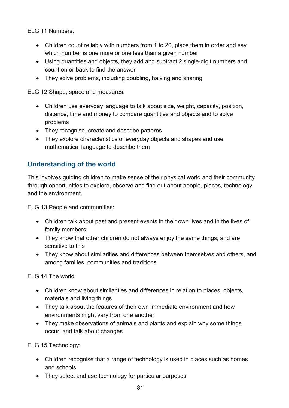ELG 11 Numbers:

- Children count reliably with numbers from 1 to 20, place them in order and say which number is one more or one less than a given number
- Using quantities and objects, they add and subtract 2 single-digit numbers and count on or back to find the answer
- They solve problems, including doubling, halving and sharing

ELG 12 Shape, space and measures:

- Children use everyday language to talk about size, weight, capacity, position, distance, time and money to compare quantities and objects and to solve problems
- They recognise, create and describe patterns
- They explore characteristics of everyday objects and shapes and use mathematical language to describe them

#### <span id="page-30-0"></span>**Understanding of the world**

This involves guiding children to make sense of their physical world and their community through opportunities to explore, observe and find out about people, places, technology and the environment.

ELG 13 People and communities:

- Children talk about past and present events in their own lives and in the lives of family members
- They know that other children do not always enjoy the same things, and are sensitive to this
- They know about similarities and differences between themselves and others, and among families, communities and traditions

ELG 14 The world:

- Children know about similarities and differences in relation to places, objects, materials and living things
- They talk about the features of their own immediate environment and how environments might vary from one another
- They make observations of animals and plants and explain why some things occur, and talk about changes

ELG 15 Technology:

- Children recognise that a range of technology is used in places such as homes and schools
- They select and use technology for particular purposes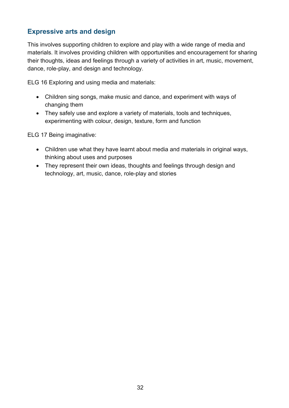#### <span id="page-31-0"></span>**Expressive arts and design**

This involves supporting children to explore and play with a wide range of media and materials. It involves providing children with opportunities and encouragement for sharing their thoughts, ideas and feelings through a variety of activities in art, music, movement, dance, role-play, and design and technology.

ELG 16 Exploring and using media and materials:

- Children sing songs, make music and dance, and experiment with ways of changing them
- They safely use and explore a variety of materials, tools and techniques, experimenting with colour, design, texture, form and function

ELG 17 Being imaginative:

- Children use what they have learnt about media and materials in original ways, thinking about uses and purposes
- They represent their own ideas, thoughts and feelings through design and technology, art, music, dance, role-play and stories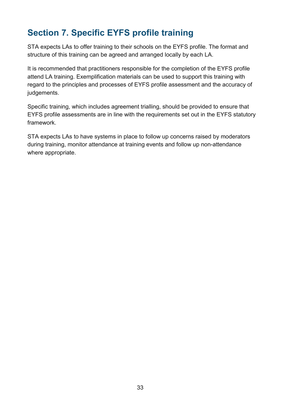# <span id="page-32-0"></span>**Section 7. Specific EYFS profile training**

STA expects LAs to offer training to their schools on the EYFS profile. The format and structure of this training can be agreed and arranged locally by each LA.

It is recommended that practitioners responsible for the completion of the EYFS profile attend LA training. Exemplification materials can be used to support this training with regard to the principles and processes of EYFS profile assessment and the accuracy of judgements.

Specific training, which includes agreement trialling, should be provided to ensure that EYFS profile assessments are in line with the requirements set out in the EYFS statutory framework.

STA expects LAs to have systems in place to follow up concerns raised by moderators during training, monitor attendance at training events and follow up non-attendance where appropriate.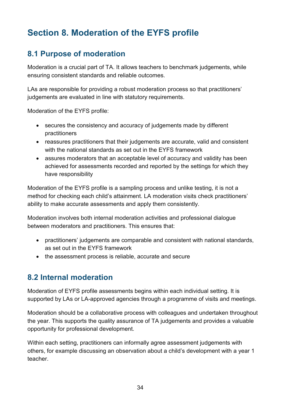# <span id="page-33-0"></span>**Section 8. Moderation of the EYFS profile**

## <span id="page-33-1"></span>**8.1 Purpose of moderation**

Moderation is a crucial part of TA. It allows teachers to benchmark judgements, while ensuring consistent standards and reliable outcomes.

LAs are responsible for providing a robust moderation process so that practitioners' judgements are evaluated in line with statutory requirements.

Moderation of the EYFS profile:

- secures the consistency and accuracy of judgements made by different practitioners
- reassures practitioners that their judgements are accurate, valid and consistent with the national standards as set out in the EYFS framework
- assures moderators that an acceptable level of accuracy and validity has been achieved for assessments recorded and reported by the settings for which they have responsibility

Moderation of the EYFS profile is a sampling process and unlike testing, it is not a method for checking each child's attainment. LA moderation visits check practitioners' ability to make accurate assessments and apply them consistently.

Moderation involves both internal moderation activities and professional dialogue between moderators and practitioners. This ensures that:

- practitioners' judgements are comparable and consistent with national standards, as set out in the EYFS framework
- the assessment process is reliable, accurate and secure

#### <span id="page-33-2"></span>**8.2 Internal moderation**

Moderation of EYFS profile assessments begins within each individual setting. It is supported by LAs or LA-approved agencies through a programme of visits and meetings.

Moderation should be a collaborative process with colleagues and undertaken throughout the year. This supports the quality assurance of TA judgements and provides a valuable opportunity for professional development.

Within each setting, practitioners can informally agree assessment judgements with others, for example discussing an observation about a child's development with a year 1 teacher.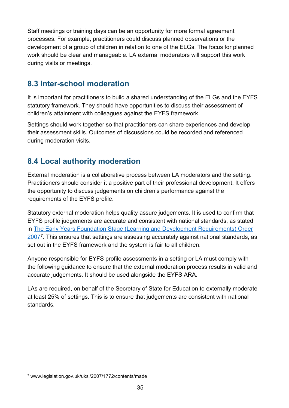Staff meetings or training days can be an opportunity for more formal agreement processes. For example, practitioners could discuss planned observations or the development of a group of children in relation to one of the ELGs. The focus for planned work should be clear and manageable. LA external moderators will support this work during visits or meetings.

## <span id="page-34-0"></span>**8.3 Inter-school moderation**

It is important for practitioners to build a shared understanding of the ELGs and the EYFS statutory framework. They should have opportunities to discuss their assessment of children's attainment with colleagues against the EYFS framework.

Settings should work together so that practitioners can share experiences and develop their assessment skills. Outcomes of discussions could be recorded and referenced during moderation visits.

## <span id="page-34-1"></span>**8.4 Local authority moderation**

External moderation is a collaborative process between LA moderators and the setting. Practitioners should consider it a positive part of their professional development. It offers the opportunity to discuss judgements on children's performance against the requirements of the EYFS profile.

Statutory external moderation helps quality assure judgements. It is used to confirm that EYFS profile judgements are accurate and consistent with national standards, as stated in [The Early Years Foundation Stage \(Learning and Development Requirements\) Order](http://www.legislation.gov.uk/uksi/2007/1772/contents/made)  [2007](http://www.legislation.gov.uk/uksi/2007/1772/contents/made)[7](#page-34-2). This ensures that settings are assessing accurately against national standards, as set out in the EYFS framework and the system is fair to all children.

Anyone responsible for EYFS profile assessments in a setting or LA must comply with the following guidance to ensure that the external moderation process results in valid and accurate judgements. It should be used alongside the EYFS ARA.

LAs are required, on behalf of the Secretary of State for Education to externally moderate at least 25% of settings. This is to ensure that judgements are consistent with national standards.

-

<span id="page-34-2"></span><sup>7</sup> www.legislation.gov.uk/uksi/2007/1772/contents/made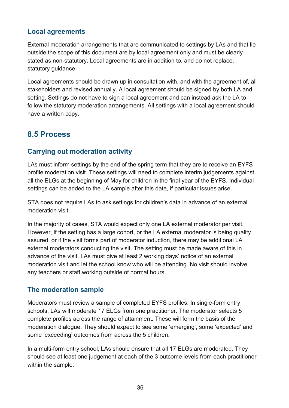#### <span id="page-35-0"></span>**Local agreements**

External moderation arrangements that are communicated to settings by LAs and that lie outside the scope of this document are by local agreement only and must be clearly stated as non-statutory. Local agreements are in addition to, and do not replace, statutory guidance.

Local agreements should be drawn up in consultation with, and with the agreement of, all stakeholders and revised annually. A local agreement should be signed by both LA and setting. Settings do not have to sign a local agreement and can instead ask the LA to follow the statutory moderation arrangements. All settings with a local agreement should have a written copy.

## <span id="page-35-1"></span>**8.5 Process**

#### <span id="page-35-2"></span>**Carrying out moderation activity**

LAs must inform settings by the end of the spring term that they are to receive an EYFS profile moderation visit. These settings will need to complete interim judgements against all the ELGs at the beginning of May for children in the final year of the EYFS. Individual settings can be added to the LA sample after this date, if particular issues arise.

STA does not require LAs to ask settings for children's data in advance of an external moderation visit.

In the majority of cases, STA would expect only one LA external moderator per visit. However, if the setting has a large cohort, or the LA external moderator is being quality assured, or if the visit forms part of moderator induction, there may be additional LA external moderators conducting the visit. The setting must be made aware of this in advance of the visit. LAs must give at least 2 working days' notice of an external moderation visit and let the school know who will be attending. No visit should involve any teachers or staff working outside of normal hours.

#### <span id="page-35-3"></span>**The moderation sample**

Moderators must review a sample of completed EYFS profiles. In single-form entry schools, LAs will moderate 17 ELGs from one practitioner. The moderator selects 5 complete profiles across the range of attainment. These will form the basis of the moderation dialogue. They should expect to see some 'emerging', some 'expected' and some 'exceeding' outcomes from across the 5 children.

In a multi-form entry school, LAs should ensure that all 17 ELGs are moderated. They should see at least one judgement at each of the 3 outcome levels from each practitioner within the sample.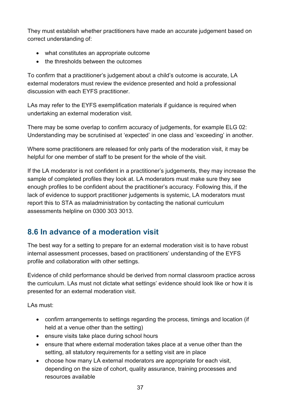They must establish whether practitioners have made an accurate judgement based on correct understanding of:

- what constitutes an appropriate outcome
- the thresholds between the outcomes

To confirm that a practitioner's judgement about a child's outcome is accurate, LA external moderators must review the evidence presented and hold a professional discussion with each EYFS practitioner.

LAs may refer to the EYFS exemplification materials if guidance is required when undertaking an external moderation visit.

There may be some overlap to confirm accuracy of judgements, for example ELG 02: Understanding may be scrutinised at 'expected' in one class and 'exceeding' in another.

Where some practitioners are released for only parts of the moderation visit, it may be helpful for one member of staff to be present for the whole of the visit.

If the LA moderator is not confident in a practitioner's judgements, they may increase the sample of completed profiles they look at. LA moderators must make sure they see enough profiles to be confident about the practitioner's accuracy. Following this, if the lack of evidence to support practitioner judgements is systemic, LA moderators must report this to STA as maladministration by contacting the national curriculum assessments helpline on 0300 303 3013.

## <span id="page-36-0"></span>**8.6 In advance of a moderation visit**

The best way for a setting to prepare for an external moderation visit is to have robust internal assessment processes, based on practitioners' understanding of the EYFS profile and collaboration with other settings.

Evidence of child performance should be derived from normal classroom practice across the curriculum. LAs must not dictate what settings' evidence should look like or how it is presented for an external moderation visit.

LAs must:

- confirm arrangements to settings regarding the process, timings and location (if held at a venue other than the setting)
- ensure visits take place during school hours
- ensure that where external moderation takes place at a venue other than the setting, all statutory requirements for a setting visit are in place
- choose how many LA external moderators are appropriate for each visit, depending on the size of cohort, quality assurance, training processes and resources available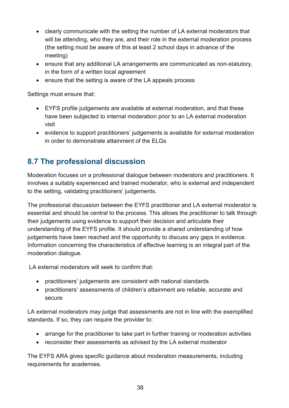- clearly communicate with the setting the number of LA external moderators that will be attending, who they are, and their role in the external moderation process (the setting must be aware of this at least 2 school days in advance of the meeting)
- ensure that any additional LA arrangements are communicated as non-statutory, in the form of a written local agreement
- ensure that the setting is aware of the LA appeals process

Settings must ensure that:

- EYFS profile judgements are available at external moderation, and that these have been subjected to internal moderation prior to an LA external moderation visit
- evidence to support practitioners' judgements is available for external moderation in order to demonstrate attainment of the ELGs

## <span id="page-37-0"></span>**8.7 The professional discussion**

Moderation focuses on a professional dialogue between moderators and practitioners. It involves a suitably experienced and trained moderator, who is external and independent to the setting, validating practitioners' judgements.

The professional discussion between the EYFS practitioner and LA external moderator is essential and should be central to the process. This allows the practitioner to talk through their judgements using evidence to support their decision and articulate their understanding of the EYFS profile. It should provide a shared understanding of how judgements have been reached and the opportunity to discuss any gaps in evidence. Information concerning the characteristics of effective learning is an integral part of the moderation dialogue.

LA external moderators will seek to confirm that:

- practitioners' judgements are consistent with national standards
- practitioners' assessments of children's attainment are reliable, accurate and secure

LA external moderators may judge that assessments are not in line with the exemplified standards. If so, they can require the provider to:

- arrange for the practitioner to take part in further training or moderation activities
- reconsider their assessments as advised by the LA external moderator

The EYFS ARA gives specific guidance about moderation measurements, including requirements for academies.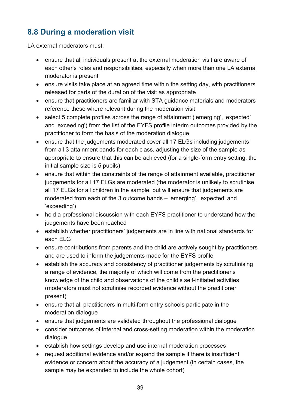# <span id="page-38-0"></span>**8.8 During a moderation visit**

LA external moderators must:

- ensure that all individuals present at the external moderation visit are aware of each other's roles and responsibilities, especially when more than one LA external moderator is present
- ensure visits take place at an agreed time within the setting day, with practitioners released for parts of the duration of the visit as appropriate
- ensure that practitioners are familiar with STA guidance materials and moderators reference these where relevant during the moderation visit
- select 5 complete profiles across the range of attainment ('emerging', 'expected' and 'exceeding') from the list of the EYFS profile interim outcomes provided by the practitioner to form the basis of the moderation dialogue
- ensure that the judgements moderated cover all 17 ELGs including judgements from all 3 attainment bands for each class, adjusting the size of the sample as appropriate to ensure that this can be achieved (for a single-form entry setting, the initial sample size is 5 pupils)
- ensure that within the constraints of the range of attainment available, practitioner judgements for all 17 ELGs are moderated (the moderator is unlikely to scrutinise all 17 ELGs for all children in the sample, but will ensure that judgements are moderated from each of the 3 outcome bands – 'emerging', 'expected' and 'exceeding')
- hold a professional discussion with each EYFS practitioner to understand how the judgements have been reached
- establish whether practitioners' judgements are in line with national standards for each ELG
- ensure contributions from parents and the child are actively sought by practitioners and are used to inform the judgements made for the EYFS profile
- establish the accuracy and consistency of practitioner judgements by scrutinising a range of evidence, the majority of which will come from the practitioner's knowledge of the child and observations of the child's self-initiated activities (moderators must not scrutinise recorded evidence without the practitioner present)
- ensure that all practitioners in multi-form entry schools participate in the moderation dialogue
- ensure that judgements are validated throughout the professional dialogue
- consider outcomes of internal and cross-setting moderation within the moderation dialogue
- establish how settings develop and use internal moderation processes
- request additional evidence and/or expand the sample if there is insufficient evidence or concern about the accuracy of a judgement (in certain cases, the sample may be expanded to include the whole cohort)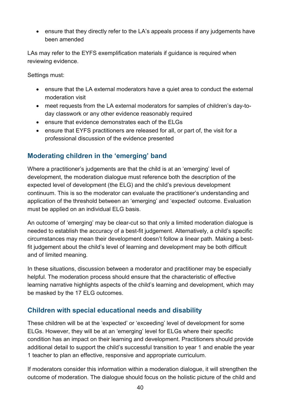• ensure that they directly refer to the LA's appeals process if any judgements have been amended

LAs may refer to the EYFS exemplification materials if guidance is required when reviewing evidence.

Settings must:

- ensure that the LA external moderators have a quiet area to conduct the external moderation visit
- meet requests from the LA external moderators for samples of children's day-today classwork or any other evidence reasonably required
- ensure that evidence demonstrates each of the ELGs
- ensure that EYFS practitioners are released for all, or part of, the visit for a professional discussion of the evidence presented

#### <span id="page-39-0"></span>**Moderating children in the 'emerging' band**

Where a practitioner's judgements are that the child is at an 'emerging' level of development, the moderation dialogue must reference both the description of the expected level of development (the ELG) and the child's previous development continuum. This is so the moderator can evaluate the practitioner's understanding and application of the threshold between an 'emerging' and 'expected' outcome. Evaluation must be applied on an individual ELG basis.

An outcome of 'emerging' may be clear-cut so that only a limited moderation dialogue is needed to establish the accuracy of a best-fit judgement. Alternatively, a child's specific circumstances may mean their development doesn't follow a linear path. Making a bestfit judgement about the child's level of learning and development may be both difficult and of limited meaning.

In these situations, discussion between a moderator and practitioner may be especially helpful. The moderation process should ensure that the characteristic of effective learning narrative highlights aspects of the child's learning and development, which may be masked by the 17 ELG outcomes.

#### <span id="page-39-1"></span>**Children with special educational needs and disability**

These children will be at the 'expected' or 'exceeding' level of development for some ELGs. However, they will be at an 'emerging' level for ELGs where their specific condition has an impact on their learning and development. Practitioners should provide additional detail to support the child's successful transition to year 1 and enable the year 1 teacher to plan an effective, responsive and appropriate curriculum.

If moderators consider this information within a moderation dialogue, it will strengthen the outcome of moderation. The dialogue should focus on the holistic picture of the child and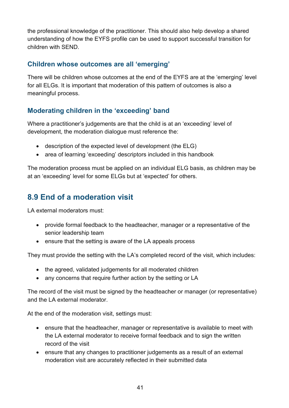the professional knowledge of the practitioner. This should also help develop a shared understanding of how the EYFS profile can be used to support successful transition for children with SEND.

#### <span id="page-40-0"></span>**Children whose outcomes are all 'emerging'**

There will be children whose outcomes at the end of the EYFS are at the 'emerging' level for all ELGs. It is important that moderation of this pattern of outcomes is also a meaningful process.

#### <span id="page-40-1"></span>**Moderating children in the 'exceeding' band**

Where a practitioner's judgements are that the child is at an 'exceeding' level of development, the moderation dialogue must reference the:

- description of the expected level of development (the ELG)
- area of learning 'exceeding' descriptors included in this handbook

The moderation process must be applied on an individual ELG basis, as children may be at an 'exceeding' level for some ELGs but at 'expected' for others.

## <span id="page-40-2"></span>**8.9 End of a moderation visit**

LA external moderators must:

- provide formal feedback to the headteacher, manager or a representative of the senior leadership team
- ensure that the setting is aware of the LA appeals process

They must provide the setting with the LA's completed record of the visit, which includes:

- the agreed, validated judgements for all moderated children
- any concerns that require further action by the setting or LA

The record of the visit must be signed by the headteacher or manager (or representative) and the LA external moderator.

At the end of the moderation visit, settings must:

- ensure that the headteacher, manager or representative is available to meet with the LA external moderator to receive formal feedback and to sign the written record of the visit
- ensure that any changes to practitioner judgements as a result of an external moderation visit are accurately reflected in their submitted data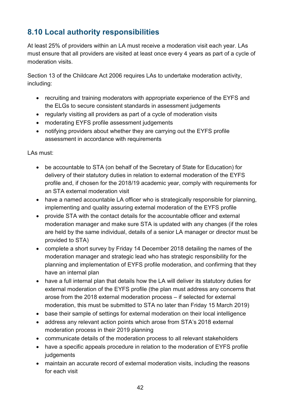## <span id="page-41-0"></span>**8.10 Local authority responsibilities**

At least 25% of providers within an LA must receive a moderation visit each year. LAs must ensure that all providers are visited at least once every 4 years as part of a cycle of moderation visits.

Section 13 of the Childcare Act 2006 requires LAs to undertake moderation activity, including:

- recruiting and training moderators with appropriate experience of the EYFS and the ELGs to secure consistent standards in assessment judgements
- regularly visiting all providers as part of a cycle of moderation visits
- moderating EYFS profile assessment judgements
- notifying providers about whether they are carrying out the EYFS profile assessment in accordance with requirements

LAs must:

- be accountable to STA (on behalf of the Secretary of State for Education) for delivery of their statutory duties in relation to external moderation of the EYFS profile and, if chosen for the 2018/19 academic year, comply with requirements for an STA external moderation visit
- have a named accountable LA officer who is strategically responsible for planning, implementing and quality assuring external moderation of the EYFS profile
- provide STA with the contact details for the accountable officer and external moderation manager and make sure STA is updated with any changes (if the roles are held by the same individual, details of a senior LA manager or director must be provided to STA)
- complete a short survey by Friday 14 December 2018 detailing the names of the moderation manager and strategic lead who has strategic responsibility for the planning and implementation of EYFS profile moderation, and confirming that they have an internal plan
- have a full internal plan that details how the LA will deliver its statutory duties for external moderation of the EYFS profile (the plan must address any concerns that arose from the 2018 external moderation process – if selected for external moderation, this must be submitted to STA no later than Friday 15 March 2019)
- base their sample of settings for external moderation on their local intelligence
- address any relevant action points which arose from STA's 2018 external moderation process in their 2019 planning
- communicate details of the moderation process to all relevant stakeholders
- have a specific appeals procedure in relation to the moderation of EYFS profile iudgements
- maintain an accurate record of external moderation visits, including the reasons for each visit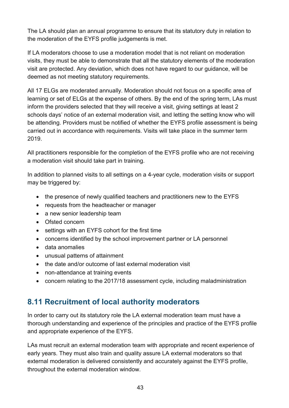The LA should plan an annual programme to ensure that its statutory duty in relation to the moderation of the EYFS profile judgements is met.

If LA moderators choose to use a moderation model that is not reliant on moderation visits, they must be able to demonstrate that all the statutory elements of the moderation visit are protected. Any deviation, which does not have regard to our guidance, will be deemed as not meeting statutory requirements.

All 17 ELGs are moderated annually. Moderation should not focus on a specific area of learning or set of ELGs at the expense of others. By the end of the spring term, LAs must inform the providers selected that they will receive a visit, giving settings at least 2 schools days' notice of an external moderation visit, and letting the setting know who will be attending. Providers must be notified of whether the EYFS profile assessment is being carried out in accordance with requirements. Visits will take place in the summer term 2019.

All practitioners responsible for the completion of the EYFS profile who are not receiving a moderation visit should take part in training.

In addition to planned visits to all settings on a 4-year cycle, moderation visits or support may be triggered by:

- the presence of newly qualified teachers and practitioners new to the EYFS
- requests from the headteacher or manager
- a new senior leadership team
- Ofsted concern
- settings with an EYFS cohort for the first time
- concerns identified by the school improvement partner or LA personnel
- data anomalies
- unusual patterns of attainment
- the date and/or outcome of last external moderation visit
- non-attendance at training events
- concern relating to the 2017/18 assessment cycle, including maladministration

## <span id="page-42-0"></span>**8.11 Recruitment of local authority moderators**

In order to carry out its statutory role the LA external moderation team must have a thorough understanding and experience of the principles and practice of the EYFS profile and appropriate experience of the EYFS.

LAs must recruit an external moderation team with appropriate and recent experience of early years. They must also train and quality assure LA external moderators so that external moderation is delivered consistently and accurately against the EYFS profile, throughout the external moderation window.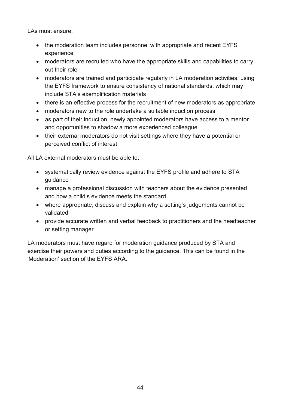LAs must ensure:

- the moderation team includes personnel with appropriate and recent EYFS experience
- moderators are recruited who have the appropriate skills and capabilities to carry out their role
- moderators are trained and participate regularly in LA moderation activities, using the EYFS framework to ensure consistency of national standards, which may include STA's exemplification materials
- there is an effective process for the recruitment of new moderators as appropriate
- moderators new to the role undertake a suitable induction process
- as part of their induction, newly appointed moderators have access to a mentor and opportunities to shadow a more experienced colleague
- their external moderators do not visit settings where they have a potential or perceived conflict of interest

All LA external moderators must be able to:

- systematically review evidence against the EYFS profile and adhere to STA guidance
- manage a professional discussion with teachers about the evidence presented and how a child's evidence meets the standard
- where appropriate, discuss and explain why a setting's judgements cannot be validated
- provide accurate written and verbal feedback to practitioners and the headteacher or setting manager

LA moderators must have regard for moderation guidance produced by STA and exercise their powers and duties according to the guidance. This can be found in the 'Moderation' section of the EYFS ARA.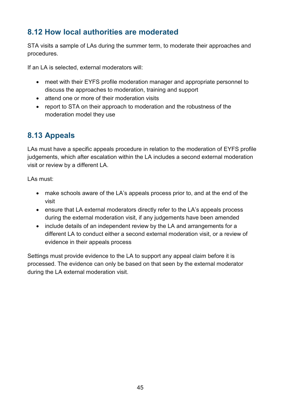## <span id="page-44-0"></span>**8.12 How local authorities are moderated**

STA visits a sample of LAs during the summer term, to moderate their approaches and procedures.

If an LA is selected, external moderators will:

- meet with their EYFS profile moderation manager and appropriate personnel to discuss the approaches to moderation, training and support
- attend one or more of their moderation visits
- report to STA on their approach to moderation and the robustness of the moderation model they use

## <span id="page-44-1"></span>**8.13 Appeals**

LAs must have a specific appeals procedure in relation to the moderation of EYFS profile judgements, which after escalation within the LA includes a second external moderation visit or review by a different LA.

LAs must:

- make schools aware of the LA's appeals process prior to, and at the end of the visit
- ensure that LA external moderators directly refer to the LA's appeals process during the external moderation visit, if any judgements have been amended
- include details of an independent review by the LA and arrangements for a different LA to conduct either a second external moderation visit, or a review of evidence in their appeals process

Settings must provide evidence to the LA to support any appeal claim before it is processed. The evidence can only be based on that seen by the external moderator during the LA external moderation visit.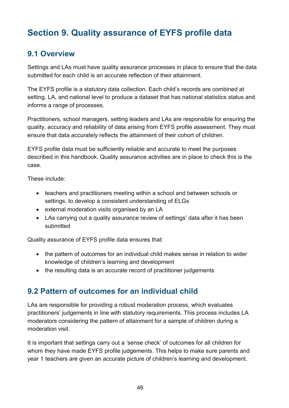# <span id="page-45-0"></span>**Section 9. Quality assurance of EYFS profile data**

## <span id="page-45-1"></span>**9.1 Overview**

Settings and LAs must have quality assurance processes in place to ensure that the data submitted for each child is an accurate reflection of their attainment.

The EYFS profile is a statutory data collection. Each child's records are combined at setting, LA, and national level to produce a dataset that has national statistics status and informs a range of processes.

Practitioners, school managers, setting leaders and LAs are responsible for ensuring the quality, accuracy and reliability of data arising from EYFS profile assessment. They must ensure that data accurately reflects the attainment of their cohort of children.

EYFS profile data must be sufficiently reliable and accurate to meet the purposes described in this handbook. Quality assurance activities are in place to check this is the case.

These include:

- teachers and practitioners meeting within a school and between schools or settings, to develop a consistent understanding of ELGs
- external moderation visits organised by an LA
- LAs carrying out a quality assurance review of settings' data after it has been submitted

Quality assurance of EYFS profile data ensures that:

- the pattern of outcomes for an individual child makes sense in relation to wider knowledge of children's learning and development
- the resulting data is an accurate record of practitioner judgements

## <span id="page-45-2"></span>**9.2 Pattern of outcomes for an individual child**

LAs are responsible for providing a robust moderation process, which evaluates practitioners' judgements in line with statutory requirements. This process includes LA moderators considering the pattern of attainment for a sample of children during a moderation visit.

It is important that settings carry out a 'sense check' of outcomes for all children for whom they have made EYFS profile judgements. This helps to make sure parents and year 1 teachers are given an accurate picture of children's learning and development.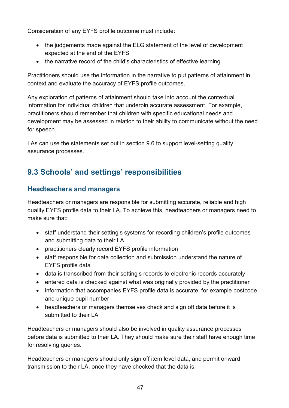Consideration of any EYFS profile outcome must include:

- the judgements made against the ELG statement of the level of development expected at the end of the EYFS
- the narrative record of the child's characteristics of effective learning

Practitioners should use the information in the narrative to put patterns of attainment in context and evaluate the accuracy of EYFS profile outcomes.

Any exploration of patterns of attainment should take into account the contextual information for individual children that underpin accurate assessment. For example, practitioners should remember that children with specific educational needs and development may be assessed in relation to their ability to communicate without the need for speech.

LAs can use the statements set out in section 9.6 to support level-setting quality assurance processes.

## <span id="page-46-0"></span>**9.3 Schools' and settings' responsibilities**

#### <span id="page-46-1"></span>**Headteachers and managers**

Headteachers or managers are responsible for submitting accurate, reliable and high quality EYFS profile data to their LA. To achieve this, headteachers or managers need to make sure that:

- staff understand their setting's systems for recording children's profile outcomes and submitting data to their LA
- practitioners clearly record EYFS profile information
- staff responsible for data collection and submission understand the nature of EYFS profile data
- data is transcribed from their setting's records to electronic records accurately
- entered data is checked against what was originally provided by the practitioner
- information that accompanies EYFS profile data is accurate, for example postcode and unique pupil number
- headteachers or managers themselves check and sign off data before it is submitted to their LA

Headteachers or managers should also be involved in quality assurance processes before data is submitted to their LA. They should make sure their staff have enough time for resolving queries.

Headteachers or managers should only sign off item level data, and permit onward transmission to their LA, once they have checked that the data is: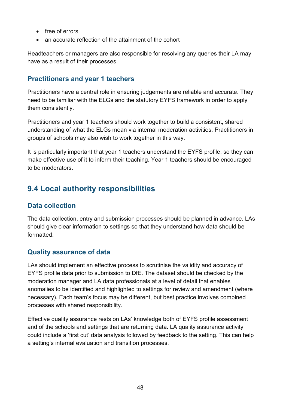- free of errors
- an accurate reflection of the attainment of the cohort

Headteachers or managers are also responsible for resolving any queries their LA may have as a result of their processes.

#### <span id="page-47-0"></span>**Practitioners and year 1 teachers**

Practitioners have a central role in ensuring judgements are reliable and accurate. They need to be familiar with the ELGs and the statutory EYFS framework in order to apply them consistently.

Practitioners and year 1 teachers should work together to build a consistent, shared understanding of what the ELGs mean via internal moderation activities. Practitioners in groups of schools may also wish to work together in this way.

It is particularly important that year 1 teachers understand the EYFS profile, so they can make effective use of it to inform their teaching. Year 1 teachers should be encouraged to be moderators.

## <span id="page-47-1"></span>**9.4 Local authority responsibilities**

#### <span id="page-47-2"></span>**Data collection**

The data collection, entry and submission processes should be planned in advance. LAs should give clear information to settings so that they understand how data should be formatted.

#### <span id="page-47-3"></span>**Quality assurance of data**

LAs should implement an effective process to scrutinise the validity and accuracy of EYFS profile data prior to submission to DfE. The dataset should be checked by the moderation manager and LA data professionals at a level of detail that enables anomalies to be identified and highlighted to settings for review and amendment (where necessary). Each team's focus may be different, but best practice involves combined processes with shared responsibility.

Effective quality assurance rests on LAs' knowledge both of EYFS profile assessment and of the schools and settings that are returning data. LA quality assurance activity could include a 'first cut' data analysis followed by feedback to the setting. This can help a setting's internal evaluation and transition processes.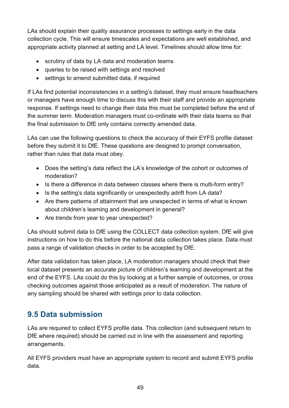LAs should explain their quality assurance processes to settings early in the data collection cycle. This will ensure timescales and expectations are well established, and appropriate activity planned at setting and LA level. Timelines should allow time for:

- scrutiny of data by LA data and moderation teams
- queries to be raised with settings and resolved
- settings to amend submitted data, if required

If LAs find potential inconsistencies in a setting's dataset, they must ensure headteachers or managers have enough time to discuss this with their staff and provide an appropriate response. If settings need to change their data this must be completed before the end of the summer term. Moderation managers must co-ordinate with their data teams so that the final submission to DfE only contains correctly amended data.

LAs can use the following questions to check the accuracy of their EYFS profile dataset before they submit it to DfE. These questions are designed to prompt conversation, rather than rules that data must obey.

- Does the setting's data reflect the LA's knowledge of the cohort or outcomes of moderation?
- Is there a difference in data between classes where there is multi-form entry?
- Is the setting's data significantly or unexpectedly adrift from LA data?
- Are there patterns of attainment that are unexpected in terms of what is known about children's learning and development in general?
- Are trends from year to year unexpected?

LAs should submit data to DfE using the COLLECT data collection system. DfE will give instructions on how to do this before the national data collection takes place. Data must pass a range of validation checks in order to be accepted by DfE.

After data validation has taken place, LA moderation managers should check that their local dataset presents an accurate picture of children's learning and development at the end of the EYFS. LAs could do this by looking at a further sample of outcomes, or cross checking outcomes against those anticipated as a result of moderation. The nature of any sampling should be shared with settings prior to data collection.

## <span id="page-48-0"></span>**9.5 Data submission**

LAs are required to collect EYFS profile data. This collection (and subsequent return to DfE where required) should be carried out in line with the assessment and reporting arrangements.

All EYFS providers must have an appropriate system to record and submit EYFS profile data.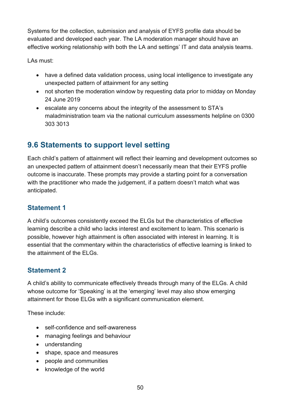Systems for the collection, submission and analysis of EYFS profile data should be evaluated and developed each year. The LA moderation manager should have an effective working relationship with both the LA and settings' IT and data analysis teams.

LAs must:

- have a defined data validation process, using local intelligence to investigate any unexpected pattern of attainment for any setting
- not shorten the moderation window by requesting data prior to midday on Monday 24 June 2019
- escalate any concerns about the integrity of the assessment to STA's maladministration team via the national curriculum assessments helpline on 0300 303 3013

## <span id="page-49-0"></span>**9.6 Statements to support level setting**

Each child's pattern of attainment will reflect their learning and development outcomes so an unexpected pattern of attainment doesn't necessarily mean that their EYFS profile outcome is inaccurate. These prompts may provide a starting point for a conversation with the practitioner who made the judgement, if a pattern doesn't match what was anticipated.

#### <span id="page-49-1"></span>**Statement 1**

A child's outcomes consistently exceed the ELGs but the characteristics of effective learning describe a child who lacks interest and excitement to learn. This scenario is possible, however high attainment is often associated with interest in learning. It is essential that the commentary within the characteristics of effective learning is linked to the attainment of the ELGs.

## <span id="page-49-2"></span>**Statement 2**

A child's ability to communicate effectively threads through many of the ELGs. A child whose outcome for 'Speaking' is at the 'emerging' level may also show emerging attainment for those ELGs with a significant communication element.

These include:

- self-confidence and self-awareness
- managing feelings and behaviour
- understanding
- shape, space and measures
- people and communities
- knowledge of the world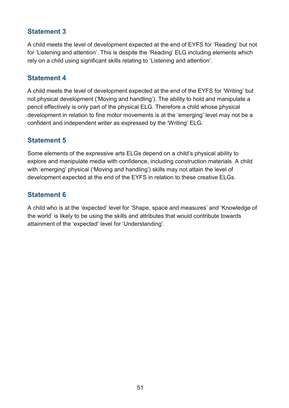#### <span id="page-50-0"></span>**Statement 3**

A child meets the level of development expected at the end of EYFS for 'Reading' but not for 'Listening and attention'. This is despite the 'Reading' ELG including elements which rely on a child using significant skills relating to 'Listening and attention'.

#### <span id="page-50-1"></span>**Statement 4**

A child meets the level of development expected at the end of the EYFS for 'Writing' but not physical development ('Moving and handling'). The ability to hold and manipulate a pencil effectively is only part of the physical ELG. Therefore a child whose physical development in relation to fine motor movements is at the 'emerging' level may not be a confident and independent writer as expressed by the 'Writing' ELG.

#### <span id="page-50-2"></span>**Statement 5**

Some elements of the expressive arts ELGs depend on a child's physical ability to explore and manipulate media with confidence, including construction materials. A child with 'emerging' physical ('Moving and handling') skills may not attain the level of development expected at the end of the EYFS in relation to these creative ELGs.

#### <span id="page-50-3"></span>**Statement 6**

A child who is at the 'expected' level for 'Shape, space and measures' and 'Knowledge of the world' is likely to be using the skills and attributes that would contribute towards attainment of the 'expected' level for 'Understanding'.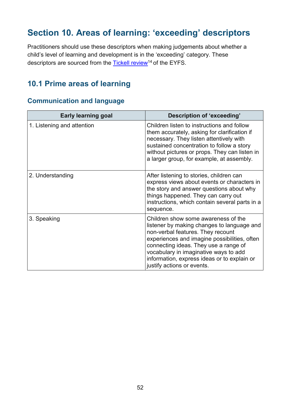# <span id="page-51-0"></span>**Section 10. Areas of learning: 'exceeding' descriptors**

Practitioners should use these descriptors when making judgements about whether a child's level of learning and development is in the 'exceeding' category. These descriptors are sourced from the Tickell review<sup>14</sup> of the EYFS.

## <span id="page-51-1"></span>**10.1 Prime areas of learning**

#### <span id="page-51-2"></span>**Communication and language**

| <b>Early learning goal</b> | Description of 'exceeding'                                                                                                                                                                                                                                                                                                            |
|----------------------------|---------------------------------------------------------------------------------------------------------------------------------------------------------------------------------------------------------------------------------------------------------------------------------------------------------------------------------------|
| 1. Listening and attention | Children listen to instructions and follow<br>them accurately, asking for clarification if<br>necessary. They listen attentively with<br>sustained concentration to follow a story<br>without pictures or props. They can listen in<br>a larger group, for example, at assembly.                                                      |
| 2. Understanding           | After listening to stories, children can<br>express views about events or characters in<br>the story and answer questions about why<br>things happened. They can carry out<br>instructions, which contain several parts in a<br>sequence.                                                                                             |
| 3. Speaking                | Children show some awareness of the<br>listener by making changes to language and<br>non-verbal features. They recount<br>experiences and imagine possibilities, often<br>connecting ideas. They use a range of<br>vocabulary in imaginative ways to add<br>information, express ideas or to explain or<br>justify actions or events. |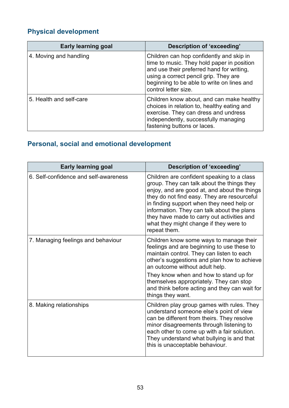# <span id="page-52-0"></span>**Physical development**

| <b>Early learning goal</b> | Description of 'exceeding'                                                                                                                                                                                                                         |
|----------------------------|----------------------------------------------------------------------------------------------------------------------------------------------------------------------------------------------------------------------------------------------------|
| 4. Moving and handling     | Children can hop confidently and skip in<br>time to music. They hold paper in position<br>and use their preferred hand for writing,<br>using a correct pencil grip. They are<br>beginning to be able to write on lines and<br>control letter size. |
| 5. Health and self-care    | Children know about, and can make healthy<br>choices in relation to, healthy eating and<br>exercise. They can dress and undress<br>independently, successfully managing<br>fastening buttons or laces.                                             |

## <span id="page-52-1"></span>**Personal, social and emotional development**

| <b>Early learning goal</b>            | <b>Description of 'exceeding'</b>                                                                                                                                                                                                                                                                                                                                                          |
|---------------------------------------|--------------------------------------------------------------------------------------------------------------------------------------------------------------------------------------------------------------------------------------------------------------------------------------------------------------------------------------------------------------------------------------------|
| 6. Self-confidence and self-awareness | Children are confident speaking to a class<br>group. They can talk about the things they<br>enjoy, and are good at, and about the things<br>they do not find easy. They are resourceful<br>in finding support when they need help or<br>information. They can talk about the plans<br>they have made to carry out activities and<br>what they might change if they were to<br>repeat them. |
| 7. Managing feelings and behaviour    | Children know some ways to manage their<br>feelings and are beginning to use these to<br>maintain control. They can listen to each<br>other's suggestions and plan how to achieve<br>an outcome without adult help.<br>They know when and how to stand up for<br>themselves appropriately. They can stop<br>and think before acting and they can wait for<br>things they want.             |
| 8. Making relationships               | Children play group games with rules. They<br>understand someone else's point of view<br>can be different from theirs. They resolve<br>minor disagreements through listening to<br>each other to come up with a fair solution.<br>They understand what bullying is and that<br>this is unacceptable behaviour.                                                                             |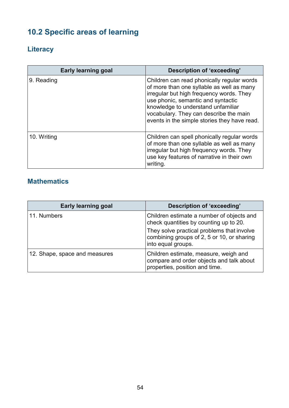# <span id="page-53-0"></span>**10.2 Specific areas of learning**

## <span id="page-53-1"></span>**Literacy**

| <b>Early learning goal</b> | Description of 'exceeding'                                                                                                                                                                                                                                                                                |
|----------------------------|-----------------------------------------------------------------------------------------------------------------------------------------------------------------------------------------------------------------------------------------------------------------------------------------------------------|
| 9. Reading                 | Children can read phonically regular words<br>of more than one syllable as well as many<br>irregular but high frequency words. They<br>use phonic, semantic and syntactic<br>knowledge to understand unfamiliar<br>vocabulary. They can describe the main<br>events in the simple stories they have read. |
| 10. Writing                | Children can spell phonically regular words<br>of more than one syllable as well as many<br>irregular but high frequency words. They<br>use key features of narrative in their own<br>writing.                                                                                                            |

## <span id="page-53-2"></span>**Mathematics**

| <b>Early learning goal</b>    | Description of 'exceeding'                                                                                          |
|-------------------------------|---------------------------------------------------------------------------------------------------------------------|
| 11. Numbers                   | Children estimate a number of objects and<br>check quantities by counting up to 20.                                 |
|                               | They solve practical problems that involve<br>combining groups of 2, 5 or 10, or sharing<br>into equal groups.      |
| 12. Shape, space and measures | Children estimate, measure, weigh and<br>compare and order objects and talk about<br>properties, position and time. |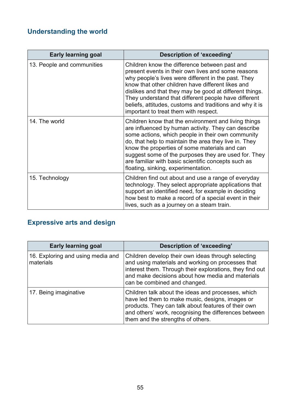# <span id="page-54-0"></span>**Understanding the world**

| <b>Early learning goal</b> | Description of 'exceeding'                                                                                                                                                                                                                                                                                                                                                                                                              |
|----------------------------|-----------------------------------------------------------------------------------------------------------------------------------------------------------------------------------------------------------------------------------------------------------------------------------------------------------------------------------------------------------------------------------------------------------------------------------------|
| 13. People and communities | Children know the difference between past and<br>present events in their own lives and some reasons<br>why people's lives were different in the past. They<br>know that other children have different likes and<br>dislikes and that they may be good at different things.<br>They understand that different people have different<br>beliefs, attitudes, customs and traditions and why it is<br>important to treat them with respect. |
| 14. The world              | Children know that the environment and living things<br>are influenced by human activity. They can describe<br>some actions, which people in their own community<br>do, that help to maintain the area they live in. They<br>know the properties of some materials and can<br>suggest some of the purposes they are used for. They<br>are familiar with basic scientific concepts such as<br>floating, sinking, experimentation.        |
| 15. Technology             | Children find out about and use a range of everyday<br>technology. They select appropriate applications that<br>support an identified need, for example in deciding<br>how best to make a record of a special event in their<br>lives, such as a journey on a steam train.                                                                                                                                                              |

## <span id="page-54-1"></span>**Expressive arts and design**

| <b>Early learning goal</b>                     | Description of 'exceeding'                                                                                                                                                                                                                                 |
|------------------------------------------------|------------------------------------------------------------------------------------------------------------------------------------------------------------------------------------------------------------------------------------------------------------|
| 16. Exploring and using media and<br>materials | Children develop their own ideas through selecting<br>and using materials and working on processes that<br>interest them. Through their explorations, they find out<br>and make decisions about how media and materials<br>can be combined and changed.    |
| 17. Being imaginative                          | Children talk about the ideas and processes, which<br>have led them to make music, designs, images or<br>products. They can talk about features of their own<br>and others' work, recognising the differences between<br>them and the strengths of others. |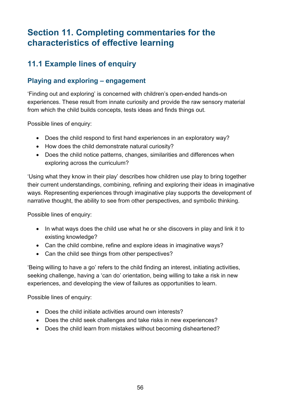# <span id="page-55-0"></span>**Section 11. Completing commentaries for the characteristics of effective learning**

## <span id="page-55-1"></span>**11.1 Example lines of enquiry**

#### <span id="page-55-2"></span>**Playing and exploring – engagement**

'Finding out and exploring' is concerned with children's open-ended hands-on experiences. These result from innate curiosity and provide the raw sensory material from which the child builds concepts, tests ideas and finds things out.

Possible lines of enquiry:

- Does the child respond to first hand experiences in an exploratory way?
- How does the child demonstrate natural curiosity?
- Does the child notice patterns, changes, similarities and differences when exploring across the curriculum?

'Using what they know in their play' describes how children use play to bring together their current understandings, combining, refining and exploring their ideas in imaginative ways. Representing experiences through imaginative play supports the development of narrative thought, the ability to see from other perspectives, and symbolic thinking.

Possible lines of enquiry:

- In what ways does the child use what he or she discovers in play and link it to existing knowledge?
- Can the child combine, refine and explore ideas in imaginative ways?
- Can the child see things from other perspectives?

'Being willing to have a go' refers to the child finding an interest, initiating activities, seeking challenge, having a 'can do' orientation, being willing to take a risk in new experiences, and developing the view of failures as opportunities to learn.

Possible lines of enquiry:

- Does the child initiate activities around own interests?
- Does the child seek challenges and take risks in new experiences?
- Does the child learn from mistakes without becoming disheartened?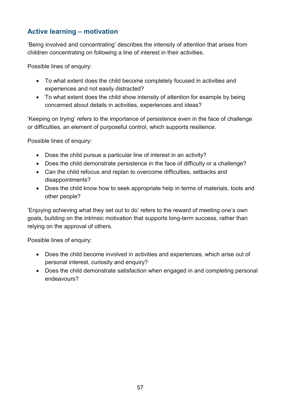#### <span id="page-56-0"></span>**Active learning – motivation**

'Being involved and concentrating' describes the intensity of attention that arises from children concentrating on following a line of interest in their activities.

Possible lines of enquiry:

- To what extent does the child become completely focused in activities and experiences and not easily distracted?
- To what extent does the child show intensity of attention for example by being concerned about details in activities, experiences and ideas?

'Keeping on trying' refers to the importance of persistence even in the face of challenge or difficulties, an element of purposeful control, which supports resilience.

Possible lines of enquiry:

- Does the child pursue a particular line of interest in an activity?
- Does the child demonstrate persistence in the face of difficulty or a challenge?
- Can the child refocus and replan to overcome difficulties, setbacks and disappointments?
- Does the child know how to seek appropriate help in terms of materials, tools and other people?

'Enjoying achieving what they set out to do' refers to the reward of meeting one's own goals, building on the intrinsic motivation that supports long-term success, rather than relying on the approval of others.

Possible lines of enquiry:

- Does the child become involved in activities and experiences, which arise out of personal interest, curiosity and enquiry?
- Does the child demonstrate satisfaction when engaged in and completing personal endeavours?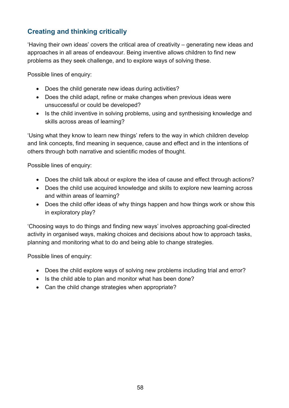#### <span id="page-57-0"></span>**Creating and thinking critically**

'Having their own ideas' covers the critical area of creativity – generating new ideas and approaches in all areas of endeavour. Being inventive allows children to find new problems as they seek challenge, and to explore ways of solving these.

Possible lines of enquiry:

- Does the child generate new ideas during activities?
- Does the child adapt, refine or make changes when previous ideas were unsuccessful or could be developed?
- Is the child inventive in solving problems, using and synthesising knowledge and skills across areas of learning?

'Using what they know to learn new things' refers to the way in which children develop and link concepts, find meaning in sequence, cause and effect and in the intentions of others through both narrative and scientific modes of thought.

Possible lines of enquiry:

- Does the child talk about or explore the idea of cause and effect through actions?
- Does the child use acquired knowledge and skills to explore new learning across and within areas of learning?
- Does the child offer ideas of why things happen and how things work or show this in exploratory play?

'Choosing ways to do things and finding new ways' involves approaching goal-directed activity in organised ways, making choices and decisions about how to approach tasks, planning and monitoring what to do and being able to change strategies.

Possible lines of enquiry:

- Does the child explore ways of solving new problems including trial and error?
- Is the child able to plan and monitor what has been done?
- Can the child change strategies when appropriate?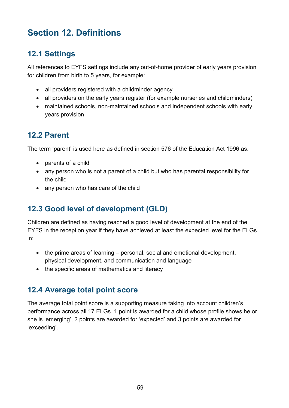# <span id="page-58-0"></span>**Section 12. Definitions**

## <span id="page-58-1"></span>**12.1 Settings**

All references to EYFS settings include any out-of-home provider of early years provision for children from birth to 5 years, for example:

- all providers registered with a childminder agency
- all providers on the early years register (for example nurseries and childminders)
- maintained schools, non-maintained schools and independent schools with early years provision

## <span id="page-58-2"></span>**12.2 Parent**

The term 'parent' is used here as defined in section 576 of the Education Act 1996 as:

- parents of a child
- any person who is not a parent of a child but who has parental responsibility for the child
- any person who has care of the child

## <span id="page-58-3"></span>**12.3 Good level of development (GLD)**

Children are defined as having reached a good level of development at the end of the EYFS in the reception year if they have achieved at least the expected level for the ELGs in:

- the prime areas of learning personal, social and emotional development, physical development, and communication and language
- the specific areas of mathematics and literacy

## <span id="page-58-4"></span>**12.4 Average total point score**

The average total point score is a supporting measure taking into account children's performance across all 17 ELGs. 1 point is awarded for a child whose profile shows he or she is 'emerging', 2 points are awarded for 'expected' and 3 points are awarded for 'exceeding'.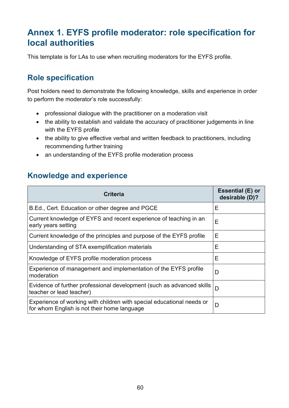# <span id="page-59-0"></span>**Annex 1. EYFS profile moderator: role specification for local authorities**

This template is for LAs to use when recruiting moderators for the EYFS profile.

## <span id="page-59-1"></span>**Role specification**

Post holders need to demonstrate the following knowledge, skills and experience in order to perform the moderator's role successfully:

- professional dialogue with the practitioner on a moderation visit
- the ability to establish and validate the accuracy of practitioner judgements in line with the EYFS profile
- the ability to give effective verbal and written feedback to practitioners, including recommending further training
- an understanding of the EYFS profile moderation process

## <span id="page-59-2"></span>**Knowledge and experience**

| <b>Criteria</b>                                                                                                      | Essential (E) or<br>desirable (D)? |
|----------------------------------------------------------------------------------------------------------------------|------------------------------------|
| B.Ed., Cert. Education or other degree and PGCE                                                                      | Е                                  |
| Current knowledge of EYFS and recent experience of teaching in an<br>early years setting                             | Е                                  |
| Current knowledge of the principles and purpose of the EYFS profile                                                  | Е                                  |
| Understanding of STA exemplification materials                                                                       | E                                  |
| Knowledge of EYFS profile moderation process                                                                         | Ε                                  |
| Experience of management and implementation of the EYFS profile<br>moderation                                        | D                                  |
| Evidence of further professional development (such as advanced skills<br>teacher or lead teacher)                    | D                                  |
| Experience of working with children with special educational needs or<br>for whom English is not their home language | D                                  |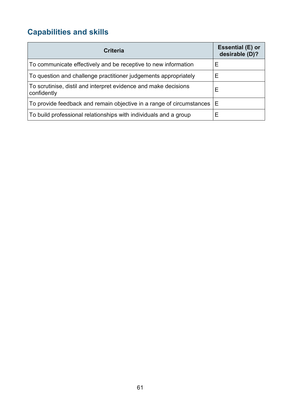# <span id="page-60-0"></span>**Capabilities and skills**

| <b>Criteria</b>                                                                | <b>Essential (E) or</b><br>desirable (D)? |
|--------------------------------------------------------------------------------|-------------------------------------------|
| To communicate effectively and be receptive to new information                 | Е                                         |
| To question and challenge practitioner judgements appropriately                | Е                                         |
| To scrutinise, distil and interpret evidence and make decisions<br>confidently | Ε                                         |
| To provide feedback and remain objective in a range of circumstances           | Е                                         |
| To build professional relationships with individuals and a group               | Ε                                         |